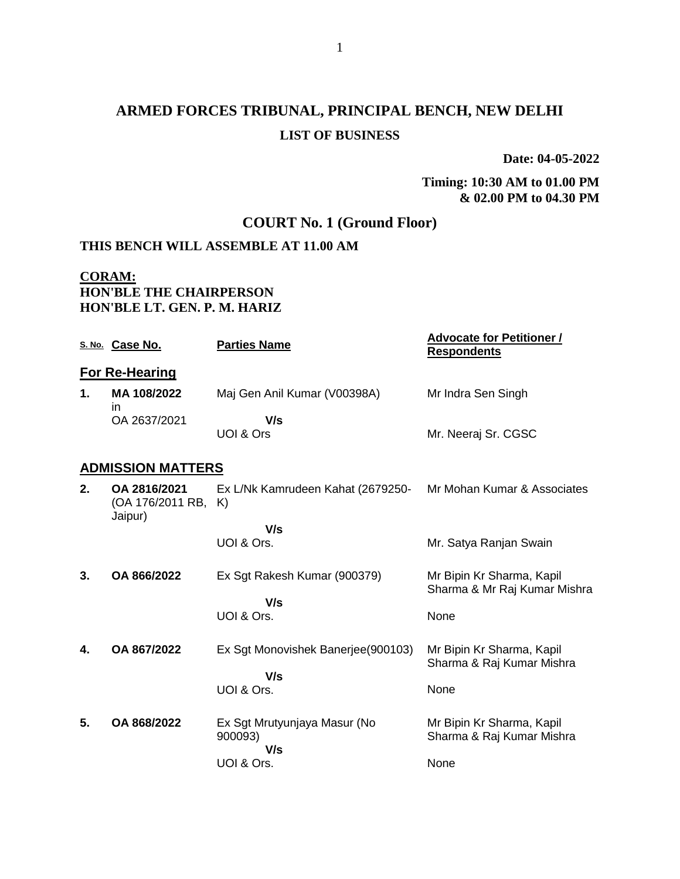# **ARMED FORCES TRIBUNAL, PRINCIPAL BENCH, NEW DELHI LIST OF BUSINESS**

**Date: 04-05-2022**

#### **Timing: 10:30 AM to 01.00 PM & 02.00 PM to 04.30 PM**

## **COURT No. 1 (Ground Floor)**

#### **THIS BENCH WILL ASSEMBLE AT 11.00 AM**

#### **CORAM: HON'BLE THE CHAIRPERSON HON'BLE LT. GEN. P. M. HARIZ**

|    | S. No. Case No.                                | <b>Parties Name</b>                     | <b>Advocate for Petitioner /</b><br><b>Respondents</b>    |  |  |
|----|------------------------------------------------|-----------------------------------------|-----------------------------------------------------------|--|--|
|    | <b>For Re-Hearing</b>                          |                                         |                                                           |  |  |
| 1. | MA 108/2022<br>in                              | Maj Gen Anil Kumar (V00398A)            | Mr Indra Sen Singh                                        |  |  |
|    | OA 2637/2021                                   | V/s<br>UOI & Ors                        | Mr. Neeraj Sr. CGSC                                       |  |  |
|    | <b>ADMISSION MATTERS</b>                       |                                         |                                                           |  |  |
| 2. | OA 2816/2021<br>(OA 176/2011 RB, K)<br>Jaipur) | Ex L/Nk Kamrudeen Kahat (2679250-       | Mr Mohan Kumar & Associates                               |  |  |
|    |                                                | V/s<br>UOI & Ors.                       | Mr. Satya Ranjan Swain                                    |  |  |
| 3. | OA 866/2022                                    | Ex Sgt Rakesh Kumar (900379)            | Mr Bipin Kr Sharma, Kapil<br>Sharma & Mr Raj Kumar Mishra |  |  |
|    |                                                | V/s<br>UOI & Ors.                       | None                                                      |  |  |
| 4. | OA 867/2022                                    | Ex Sgt Monovishek Banerjee(900103)      | Mr Bipin Kr Sharma, Kapil<br>Sharma & Raj Kumar Mishra    |  |  |
|    |                                                | V/s<br>UOI & Ors.                       | None                                                      |  |  |
| 5. | OA 868/2022                                    | Ex Sgt Mrutyunjaya Masur (No<br>900093) | Mr Bipin Kr Sharma, Kapil<br>Sharma & Raj Kumar Mishra    |  |  |
|    |                                                | V/s<br>UOI & Ors.                       | None                                                      |  |  |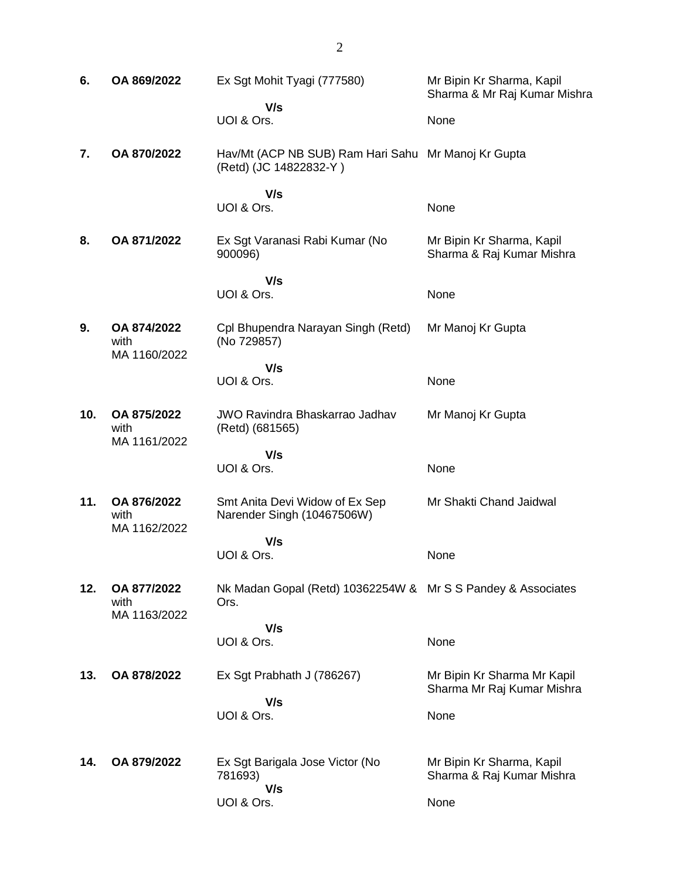| 6.  | OA 869/2022                         | Ex Sgt Mohit Tyagi (777580)                                                   | Mr Bipin Kr Sharma, Kapil<br>Sharma & Mr Raj Kumar Mishra |
|-----|-------------------------------------|-------------------------------------------------------------------------------|-----------------------------------------------------------|
|     |                                     | V/s<br>UOI & Ors.                                                             | None                                                      |
| 7.  | OA 870/2022                         | Hav/Mt (ACP NB SUB) Ram Hari Sahu Mr Manoj Kr Gupta<br>(Retd) (JC 14822832-Y) |                                                           |
|     |                                     | V/s<br>UOI & Ors.                                                             | None                                                      |
| 8.  | OA 871/2022                         | Ex Sgt Varanasi Rabi Kumar (No<br>900096)                                     | Mr Bipin Kr Sharma, Kapil<br>Sharma & Raj Kumar Mishra    |
|     |                                     | V/s<br>UOI & Ors.                                                             | None                                                      |
| 9.  | OA 874/2022<br>with<br>MA 1160/2022 | Cpl Bhupendra Narayan Singh (Retd)<br>(No 729857)                             | Mr Manoj Kr Gupta                                         |
|     |                                     | V/s<br>UOI & Ors.                                                             | None                                                      |
| 10. | OA 875/2022<br>with<br>MA 1161/2022 | <b>JWO Ravindra Bhaskarrao Jadhav</b><br>(Retd) (681565)                      | Mr Manoj Kr Gupta                                         |
|     |                                     | V/s<br>UOI & Ors.                                                             | None                                                      |
| 11. | OA 876/2022<br>with                 | Smt Anita Devi Widow of Ex Sep<br>Narender Singh (10467506W)                  | Mr Shakti Chand Jaidwal                                   |
|     | MA 1162/2022                        | V/s<br>UOI & Ors.                                                             | None                                                      |
| 12. | OA 877/2022<br>with                 | Nk Madan Gopal (Retd) 10362254W & Mr S S Pandey & Associates<br>Ors.          |                                                           |
|     | MA 1163/2022                        | V/s<br>UOI & Ors.                                                             | None                                                      |
| 13. | OA 878/2022                         | Ex Sgt Prabhath J (786267)                                                    | Mr Bipin Kr Sharma Mr Kapil<br>Sharma Mr Raj Kumar Mishra |
|     |                                     | V/s<br>UOI & Ors.                                                             | None                                                      |
| 14. | OA 879/2022                         | Ex Sgt Barigala Jose Victor (No<br>781693)<br>V/s                             | Mr Bipin Kr Sharma, Kapil<br>Sharma & Raj Kumar Mishra    |
|     |                                     | UOI & Ors.                                                                    | None                                                      |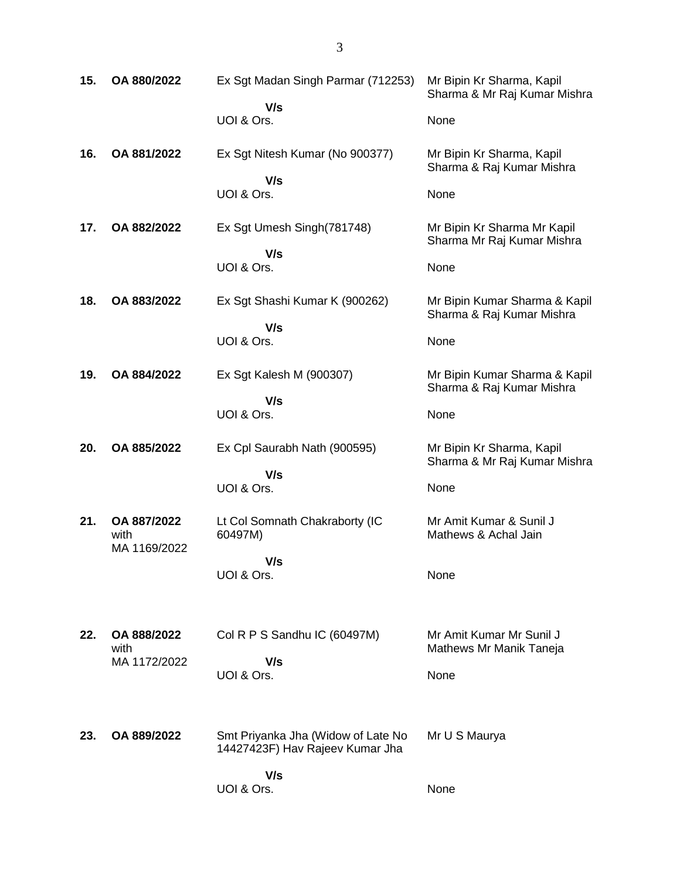| 15. | OA 880/2022         | Ex Sgt Madan Singh Parmar (712253)                                    | Mr Bipin Kr Sharma, Kapil<br>Sharma & Mr Raj Kumar Mishra  |
|-----|---------------------|-----------------------------------------------------------------------|------------------------------------------------------------|
|     |                     | V/s<br>UOI & Ors.                                                     | None                                                       |
| 16. | OA 881/2022         | Ex Sgt Nitesh Kumar (No 900377)                                       | Mr Bipin Kr Sharma, Kapil<br>Sharma & Raj Kumar Mishra     |
|     |                     | V/s<br>UOI & Ors.                                                     | None                                                       |
| 17. | OA 882/2022         | Ex Sgt Umesh Singh(781748)                                            | Mr Bipin Kr Sharma Mr Kapil<br>Sharma Mr Raj Kumar Mishra  |
|     |                     | V/s<br>UOI & Ors.                                                     | None                                                       |
| 18. | OA 883/2022         | Ex Sgt Shashi Kumar K (900262)                                        | Mr Bipin Kumar Sharma & Kapil<br>Sharma & Raj Kumar Mishra |
|     |                     | V/s<br>UOI & Ors.                                                     | None                                                       |
| 19. | OA 884/2022         | Ex Sgt Kalesh M (900307)                                              | Mr Bipin Kumar Sharma & Kapil<br>Sharma & Raj Kumar Mishra |
|     |                     | V/s<br>UOI & Ors.                                                     | None                                                       |
|     |                     |                                                                       |                                                            |
| 20. | OA 885/2022         | Ex Cpl Saurabh Nath (900595)                                          | Mr Bipin Kr Sharma, Kapil                                  |
|     |                     | V/s<br>UOI & Ors.                                                     | Sharma & Mr Raj Kumar Mishra<br>None                       |
| 21. | OA 887/2022<br>with | Lt Col Somnath Chakraborty (IC<br>60497M)                             | Mr Amit Kumar & Sunil J<br>Mathews & Achal Jain            |
|     | MA 1169/2022        | V/s<br>UOI & Ors.                                                     | None                                                       |
|     |                     |                                                                       |                                                            |
| 22. | OA 888/2022<br>with | Col R P S Sandhu IC (60497M)                                          | Mr Amit Kumar Mr Sunil J<br>Mathews Mr Manik Taneja        |
|     | MA 1172/2022        | V/s<br>UOI & Ors.                                                     | None                                                       |
| 23. | OA 889/2022         | Smt Priyanka Jha (Widow of Late No<br>14427423F) Hav Rajeev Kumar Jha | Mr U S Maurya                                              |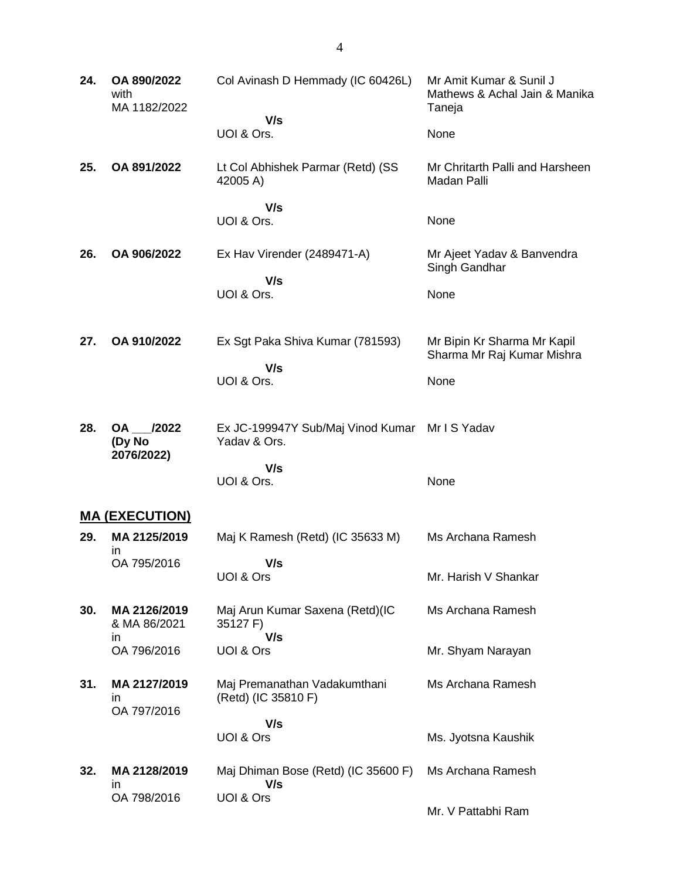| 24. | OA 890/2022<br>with<br>MA 1182/2022 | Col Avinash D Hemmady (IC 60426L)<br>V/s            | Mr Amit Kumar & Sunil J<br>Mathews & Achal Jain & Manika<br>Taneja |
|-----|-------------------------------------|-----------------------------------------------------|--------------------------------------------------------------------|
|     |                                     | UOI & Ors.                                          | None                                                               |
| 25. | OA 891/2022                         | Lt Col Abhishek Parmar (Retd) (SS<br>42005 A)       | Mr Chritarth Palli and Harsheen<br>Madan Palli                     |
|     |                                     | V/s<br>UOI & Ors.                                   | None                                                               |
| 26. | OA 906/2022                         | Ex Hav Virender (2489471-A)                         | Mr Ajeet Yadav & Banvendra<br>Singh Gandhar                        |
|     |                                     | V/s<br>UOI & Ors.                                   | None                                                               |
| 27. | OA 910/2022                         | Ex Sgt Paka Shiva Kumar (781593)<br>V/s             | Mr Bipin Kr Sharma Mr Kapil<br>Sharma Mr Raj Kumar Mishra          |
|     |                                     | UOI & Ors.                                          | None                                                               |
| 28. | OA /2022<br>(Dy No<br>2076/2022)    | Ex JC-199947Y Sub/Maj Vinod Kumar<br>Yadav & Ors.   | Mr I S Yadav                                                       |
|     |                                     | V/s<br>UOI & Ors.                                   | None                                                               |
|     | <u>MA (EXECUTION)</u>               |                                                     |                                                                    |
| 29. | MA 2125/2019<br>ın                  | Maj K Ramesh (Retd) (IC 35633 M)                    | Ms Archana Ramesh                                                  |
|     | OA 795/2016                         | V/s<br>UOI & Ors                                    | Mr. Harish V Shankar                                               |
| 30. | MA 2126/2019<br>& MA 86/2021<br>in. | Maj Arun Kumar Saxena (Retd)(IC<br>35127 F)<br>V/s  | Ms Archana Ramesh                                                  |
|     | OA 796/2016                         | UOI & Ors                                           | Mr. Shyam Narayan                                                  |
| 31. | MA 2127/2019<br>ın<br>OA 797/2016   | Maj Premanathan Vadakumthani<br>(Retd) (IC 35810 F) | Ms Archana Ramesh                                                  |
|     |                                     | V/s<br>UOI & Ors                                    | Ms. Jyotsna Kaushik                                                |
| 32. | MA 2128/2019<br>in                  | Maj Dhiman Bose (Retd) (IC 35600 F)<br>V/s          | Ms Archana Ramesh                                                  |
|     | OA 798/2016                         | UOI & Ors                                           | Mr. V Pattabhi Ram                                                 |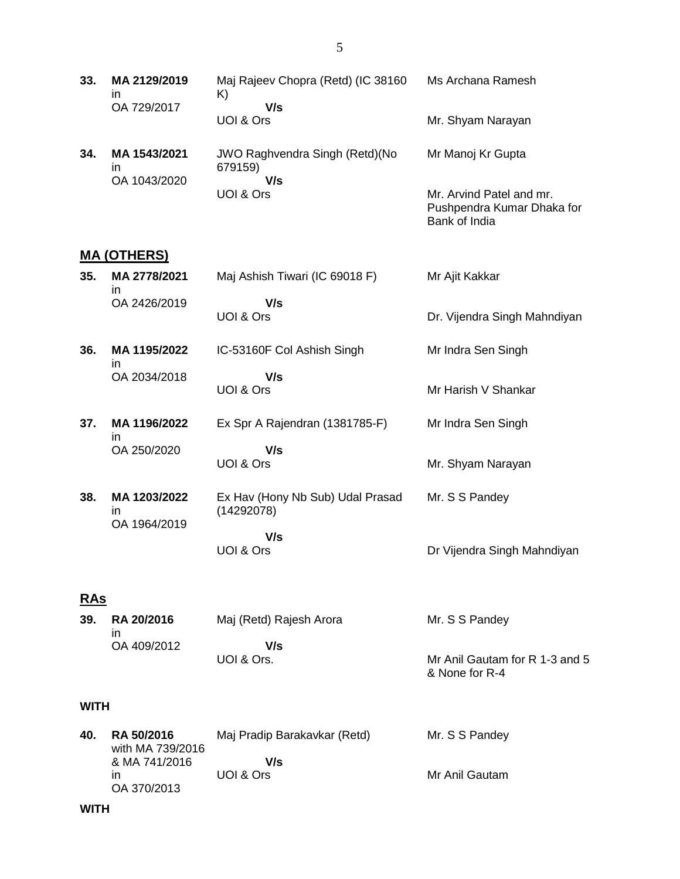| 33. | MA 2129/2019<br>ın<br>OA 729/2017 | Maj Rajeev Chopra (Retd) (IC 38160<br>K)<br>V/s | Ms Archana Ramesh        |
|-----|-----------------------------------|-------------------------------------------------|--------------------------|
|     |                                   | UOI & Ors                                       | Mr. Shyam Narayan        |
| 34. | MA 1543/2021<br>ın                | JWO Raghvendra Singh (Retd) (No<br>679159)      | Mr Manoj Kr Gupta        |
|     | OA 1043/2020                      | V/s                                             |                          |
|     |                                   | UOI & Ors                                       | Mr. Arvind Patel and mr. |

#### **MA (OTHERS)**

| 35. | MA 2778/2021<br>in.                 | Maj Ashish Tiwari (IC 69018 F)                 | Mr Ajit Kakkar               |
|-----|-------------------------------------|------------------------------------------------|------------------------------|
|     | OA 2426/2019                        | V/s                                            |                              |
|     |                                     | UOI & Ors                                      | Dr. Vijendra Singh Mahndiyan |
| 36. | MA 1195/2022<br>in.                 | IC-53160F Col Ashish Singh                     | Mr Indra Sen Singh           |
|     | OA 2034/2018                        | V/s                                            |                              |
|     |                                     | UOI & Ors                                      | Mr Harish V Shankar          |
| 37. | MA 1196/2022<br>ın                  | Ex Spr A Rajendran (1381785-F)                 | Mr Indra Sen Singh           |
|     | OA 250/2020                         | V/s                                            |                              |
|     |                                     | UOI & Ors                                      | Mr. Shyam Narayan            |
| 38. | MA 1203/2022<br>in.<br>OA 1964/2019 | Ex Hav (Hony Nb Sub) Udal Prasad<br>(14292078) | Mr. S S Pandey               |
|     |                                     | V/s                                            |                              |
|     |                                     | UOI & Ors                                      | Dr Vijendra Singh Mahndiyan  |

#### **RAs**

| 39. | RA 20/2016<br>ın | Maj (Retd) Rajesh Arora | Mr. S S Pandey                 |
|-----|------------------|-------------------------|--------------------------------|
|     | OA 409/2012      | V/s                     |                                |
|     |                  | UOI & Ors.              | Mr Anil Gautam for R 1-3 and 5 |
|     |                  |                         | & None for R-4                 |

#### **WITH**

| 40. | <b>RA 50/2016</b><br>with MA 739/2016 | Maj Pradip Barakavkar (Retd) | Mr. S S Pandey |
|-----|---------------------------------------|------------------------------|----------------|
|     | & MA 741/2016                         | V/s                          |                |
|     | $\mathsf{I}$                          | UOI & Ors                    | Mr Anil Gautam |
|     | OA 370/2013                           |                              |                |

Pushpendra Kumar Dhaka for

Bank of India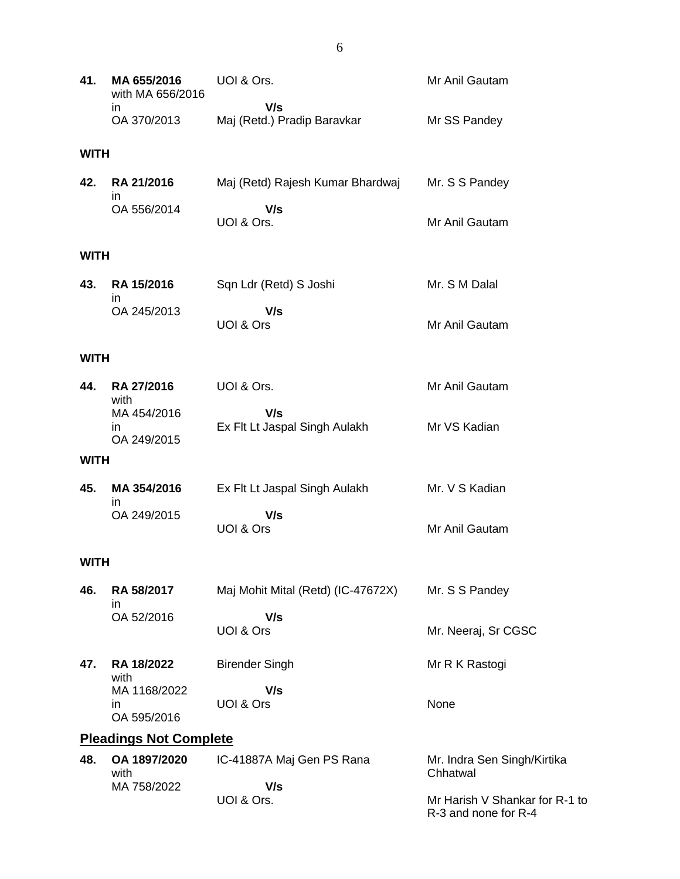| 41.         | MA 655/2016<br>with MA 656/2016   | UOI & Ors.                           | Mr Anil Gautam      |
|-------------|-----------------------------------|--------------------------------------|---------------------|
|             | in<br>OA 370/2013                 | V/s<br>Maj (Retd.) Pradip Baravkar   | Mr SS Pandey        |
| <b>WITH</b> |                                   |                                      |                     |
| 42.         | RA 21/2016<br>in.                 | Maj (Retd) Rajesh Kumar Bhardwaj     | Mr. S S Pandey      |
|             | OA 556/2014                       | V/s<br>UOI & Ors.                    | Mr Anil Gautam      |
| <b>WITH</b> |                                   |                                      |                     |
| 43.         | RA 15/2016<br>in                  | Sqn Ldr (Retd) S Joshi               | Mr. S M Dalal       |
|             | OA 245/2013                       | V/s<br>UOI & Ors                     | Mr Anil Gautam      |
| <b>WITH</b> |                                   |                                      |                     |
| 44.         | RA 27/2016<br>with                | UOI & Ors.                           | Mr Anil Gautam      |
|             | MA 454/2016<br>in<br>OA 249/2015  | V/s<br>Ex Flt Lt Jaspal Singh Aulakh | Mr VS Kadian        |
| <b>WITH</b> |                                   |                                      |                     |
| 45.         | MA 354/2016<br>in.                | Ex Flt Lt Jaspal Singh Aulakh        | Mr. V S Kadian      |
|             | OA 249/2015                       | V/s<br>UOI & Ors                     | Mr Anil Gautam      |
| <b>WITH</b> |                                   |                                      |                     |
| 46.         | RA 58/2017<br>in.                 | Maj Mohit Mital (Retd) (IC-47672X)   | Mr. S S Pandey      |
|             | OA 52/2016                        | V/s<br>UOI & Ors                     | Mr. Neeraj, Sr CGSC |
| 47.         | RA 18/2022<br>with                | <b>Birender Singh</b>                | Mr R K Rastogi      |
|             | MA 1168/2022<br>in<br>OA 595/2016 | V/s<br>UOI & Ors                     | None                |

# **Pleadings Not Complete**

| 48. | OA 1897/2020 | IC-41887A Maj Gen PS Rana | Mr. Indra Sen Singh/Kirtika    |
|-----|--------------|---------------------------|--------------------------------|
|     | with         |                           | Chhatwal                       |
|     | MA 758/2022  | V/s                       |                                |
|     |              | UOI & Ors.                | Mr Harish V Shankar for R-1 to |
|     |              |                           | R-3 and none for R-4           |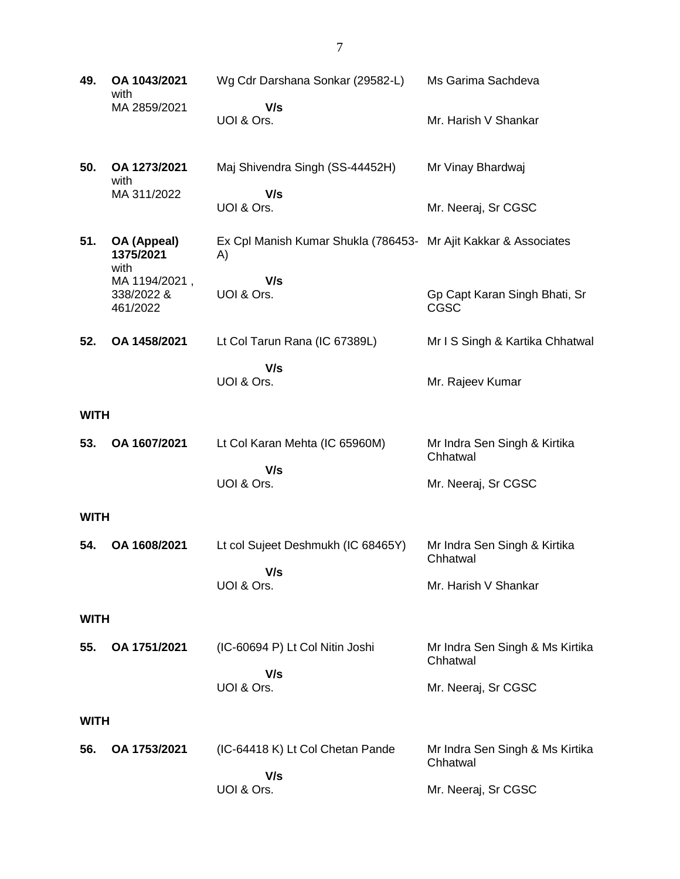| 49.         | OA 1043/2021<br>with                    | Wg Cdr Darshana Sonkar (29582-L)                                      | Ms Garima Sachdeva                          |
|-------------|-----------------------------------------|-----------------------------------------------------------------------|---------------------------------------------|
|             | MA 2859/2021                            | V/s<br>UOI & Ors.                                                     | Mr. Harish V Shankar                        |
| 50.         | OA 1273/2021<br>with                    | Maj Shivendra Singh (SS-44452H)                                       | Mr Vinay Bhardwaj                           |
|             | MA 311/2022                             | V/s<br>UOI & Ors.                                                     | Mr. Neeraj, Sr CGSC                         |
| 51.         | OA (Appeal)<br>1375/2021<br>with        | Ex Cpl Manish Kumar Shukla (786453- Mr Ajit Kakkar & Associates<br>A) |                                             |
|             | MA 1194/2021,<br>338/2022 &<br>461/2022 | V/s<br>UOI & Ors.                                                     | Gp Capt Karan Singh Bhati, Sr<br>CGSC       |
| 52.         | OA 1458/2021                            | Lt Col Tarun Rana (IC 67389L)                                         | Mr I S Singh & Kartika Chhatwal             |
|             |                                         | V/s<br>UOI & Ors.                                                     | Mr. Rajeev Kumar                            |
| <b>WITH</b> |                                         |                                                                       |                                             |
| 53.         | OA 1607/2021                            | Lt Col Karan Mehta (IC 65960M)<br>V/s                                 | Mr Indra Sen Singh & Kirtika<br>Chhatwal    |
|             |                                         | UOI & Ors.                                                            | Mr. Neeraj, Sr CGSC                         |
| <b>WITH</b> |                                         |                                                                       |                                             |
| 54.         | OA 1608/2021                            | Lt col Sujeet Deshmukh (IC 68465Y)<br>V/s                             | Mr Indra Sen Singh & Kirtika<br>Chhatwal    |
|             |                                         | UOI & Ors.                                                            | Mr. Harish V Shankar                        |
| <b>WITH</b> |                                         |                                                                       |                                             |
| 55.         | OA 1751/2021                            | (IC-60694 P) Lt Col Nitin Joshi                                       | Mr Indra Sen Singh & Ms Kirtika<br>Chhatwal |
|             |                                         | V/s<br>UOI & Ors.                                                     | Mr. Neeraj, Sr CGSC                         |
| <b>WITH</b> |                                         |                                                                       |                                             |
| 56.         | OA 1753/2021                            | (IC-64418 K) Lt Col Chetan Pande                                      | Mr Indra Sen Singh & Ms Kirtika<br>Chhatwal |
|             |                                         | V/s<br>UOI & Ors.                                                     | Mr. Neeraj, Sr CGSC                         |

7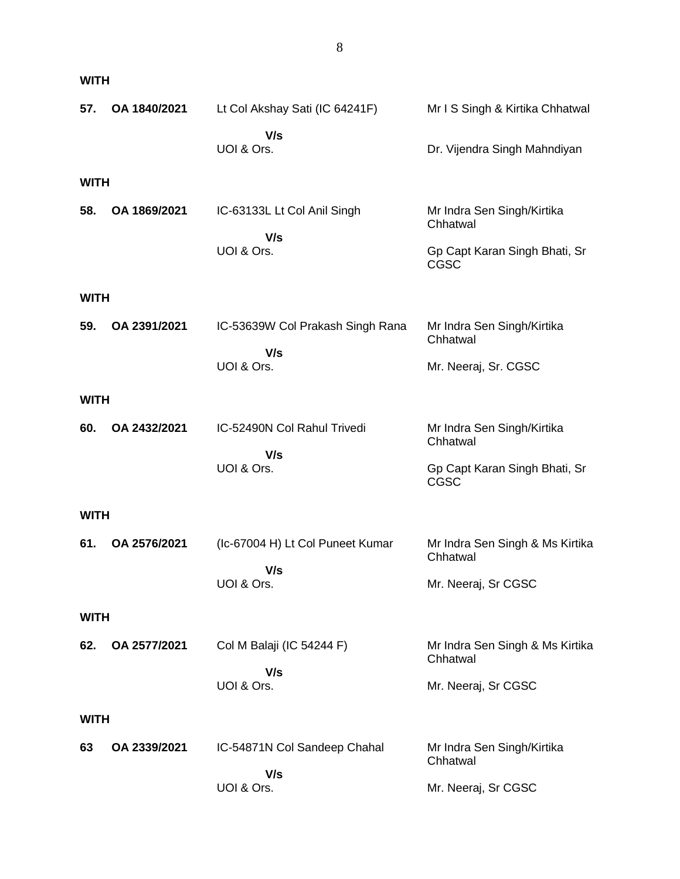| 57.         | OA 1840/2021 | Lt Col Akshay Sati (IC 64241F)          | Mr I S Singh & Kirtika Chhatwal              |
|-------------|--------------|-----------------------------------------|----------------------------------------------|
|             |              | V/s<br>UOI & Ors.                       | Dr. Vijendra Singh Mahndiyan                 |
| <b>WITH</b> |              |                                         |                                              |
| 58.         | OA 1869/2021 | IC-63133L Lt Col Anil Singh<br>V/s      | Mr Indra Sen Singh/Kirtika<br>Chhatwal       |
|             |              | UOI & Ors.                              | Gp Capt Karan Singh Bhati, Sr<br>CGSC        |
| <b>WITH</b> |              |                                         |                                              |
| 59.         | OA 2391/2021 | IC-53639W Col Prakash Singh Rana<br>V/s | Mr Indra Sen Singh/Kirtika<br>Chhatwal       |
|             |              | UOI & Ors.                              | Mr. Neeraj, Sr. CGSC                         |
| <b>WITH</b> |              |                                         |                                              |
| 60.         | OA 2432/2021 | IC-52490N Col Rahul Trivedi             | Mr Indra Sen Singh/Kirtika<br>Chhatwal       |
|             |              | V/s<br>UOI & Ors.                       | Gp Capt Karan Singh Bhati, Sr<br><b>CGSC</b> |
| <b>WITH</b> |              |                                         |                                              |
| 61.         | OA 2576/2021 | (Ic-67004 H) Lt Col Puneet Kumar        | Mr Indra Sen Singh & Ms Kirtika<br>Chhatwal  |
|             |              | V/s<br>UOI & Ors.                       | Mr. Neeraj, Sr CGSC                          |
| <b>WITH</b> |              |                                         |                                              |
| 62.         | OA 2577/2021 | Col M Balaji (IC 54244 F)               | Mr Indra Sen Singh & Ms Kirtika<br>Chhatwal  |
|             |              | V/s<br>UOI & Ors.                       | Mr. Neeraj, Sr CGSC                          |
| <b>WITH</b> |              |                                         |                                              |
| 63          | OA 2339/2021 | IC-54871N Col Sandeep Chahal            | Mr Indra Sen Singh/Kirtika<br>Chhatwal       |
|             |              | V/s<br>UOI & Ors.                       | Mr. Neeraj, Sr CGSC                          |

**WITH**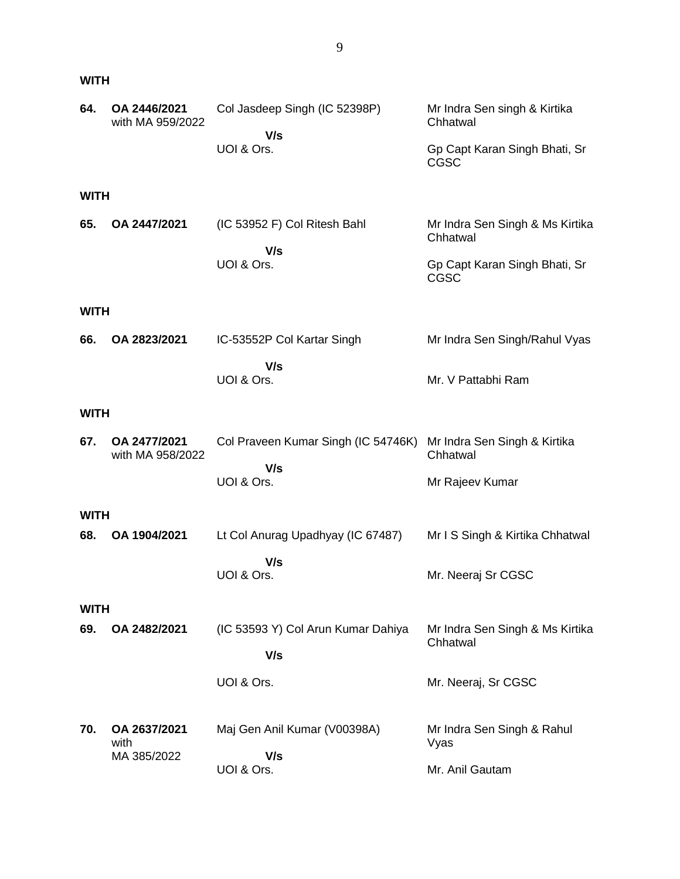#### **WITH**

| 64.         | OA 2446/2021<br>with MA 959/2022    | Col Jasdeep Singh (IC 52398P)              | Mr Indra Sen singh & Kirtika<br>Chhatwal     |
|-------------|-------------------------------------|--------------------------------------------|----------------------------------------------|
|             |                                     | V/s<br>UOI & Ors.                          | Gp Capt Karan Singh Bhati, Sr<br><b>CGSC</b> |
| <b>WITH</b> |                                     |                                            |                                              |
| 65.         | OA 2447/2021                        | (IC 53952 F) Col Ritesh Bahl<br>V/s        | Mr Indra Sen Singh & Ms Kirtika<br>Chhatwal  |
|             |                                     | UOI & Ors.                                 | Gp Capt Karan Singh Bhati, Sr<br><b>CGSC</b> |
| <b>WITH</b> |                                     |                                            |                                              |
| 66.         | OA 2823/2021                        | IC-53552P Col Kartar Singh                 | Mr Indra Sen Singh/Rahul Vyas                |
|             |                                     | V/s<br>UOI & Ors.                          | Mr. V Pattabhi Ram                           |
| <b>WITH</b> |                                     |                                            |                                              |
| 67.         | OA 2477/2021<br>with MA 958/2022    | Col Praveen Kumar Singh (IC 54746K)<br>V/s | Mr Indra Sen Singh & Kirtika<br>Chhatwal     |
|             |                                     | UOI & Ors.                                 | Mr Rajeev Kumar                              |
| <b>WITH</b> |                                     |                                            |                                              |
| 68.         | OA 1904/2021                        | Lt Col Anurag Upadhyay (IC 67487)          | Mr I S Singh & Kirtika Chhatwal              |
|             |                                     | V/s<br>UOI & Ors.                          | Mr. Neeraj Sr CGSC                           |
| <b>WITH</b> |                                     |                                            |                                              |
| 69.         | OA 2482/2021                        | (IC 53593 Y) Col Arun Kumar Dahiya<br>V/s  | Mr Indra Sen Singh & Ms Kirtika<br>Chhatwal  |
|             |                                     | UOI & Ors.                                 | Mr. Neeraj, Sr CGSC                          |
| 70.         | OA 2637/2021<br>with<br>MA 385/2022 | Maj Gen Anil Kumar (V00398A)<br>V/s        | Mr Indra Sen Singh & Rahul<br>Vyas           |
|             |                                     | UOI & Ors.                                 | Mr. Anil Gautam                              |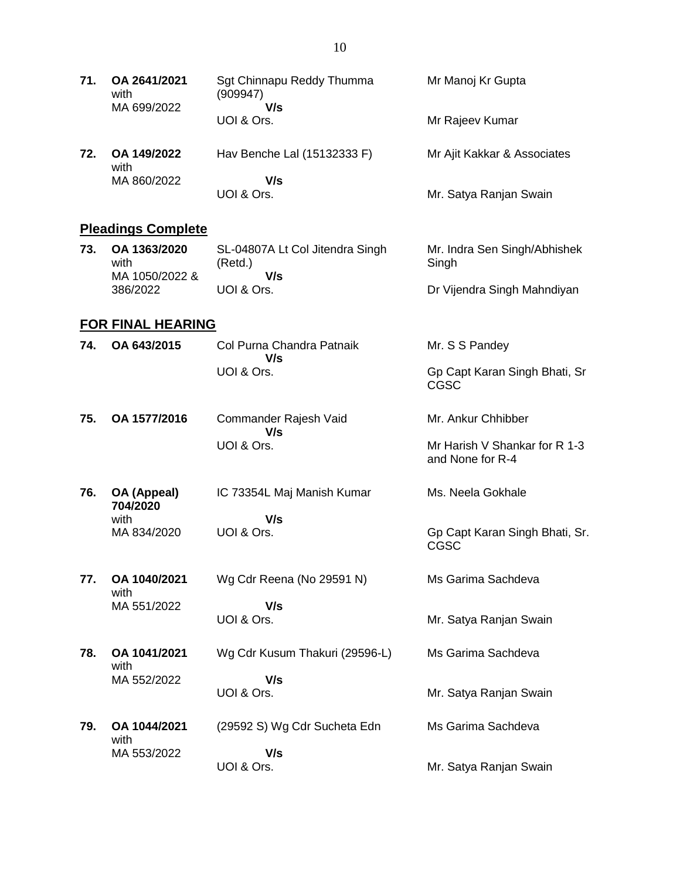| 71. | OA 2641/2021<br>with<br>MA 699/2022    | Sgt Chinnapu Reddy Thumma<br>(909947)<br>V/s      | Mr Manoj Kr Gupta                                 |
|-----|----------------------------------------|---------------------------------------------------|---------------------------------------------------|
|     |                                        | UOI & Ors.                                        | Mr Rajeev Kumar                                   |
| 72. | OA 149/2022<br>with                    | Hav Benche Lal (15132333 F)                       | Mr Ajit Kakkar & Associates                       |
|     | MA 860/2022                            | V/s<br>UOI & Ors.                                 | Mr. Satya Ranjan Swain                            |
|     | <b>Pleadings Complete</b>              |                                                   |                                                   |
| 73. | OA 1363/2020<br>with<br>MA 1050/2022 & | SL-04807A Lt Col Jitendra Singh<br>(Retd.)<br>V/s | Mr. Indra Sen Singh/Abhishek<br>Singh             |
|     | 386/2022                               | UOI & Ors.                                        | Dr Vijendra Singh Mahndiyan                       |
|     | FOR FINAL HEARING                      |                                                   |                                                   |
| 74. | OA 643/2015                            | Col Purna Chandra Patnaik<br>V/s                  | Mr. S S Pandey                                    |
|     |                                        | UOI & Ors.                                        | Gp Capt Karan Singh Bhati, Sr<br><b>CGSC</b>      |
| 75. | OA 1577/2016                           | Commander Rajesh Vaid<br>V/s                      | Mr. Ankur Chhibber                                |
|     |                                        | UOI & Ors.                                        | Mr Harish V Shankar for R 1-3<br>and None for R-4 |
| 76. | OA (Appeal)<br>704/2020                | IC 73354L Maj Manish Kumar                        | Ms. Neela Gokhale                                 |
|     | with<br>MA 834/2020                    | V/s                                               |                                                   |
|     |                                        | UOI & Ors.                                        | Gp Capt Karan Singh Bhati, Sr.<br><b>CGSC</b>     |
| 77. | OA 1040/2021<br>with                   | Wg Cdr Reena (No 29591 N)                         | Ms Garima Sachdeva                                |
|     | MA 551/2022                            | V/s                                               |                                                   |
|     |                                        | UOI & Ors.                                        | Mr. Satya Ranjan Swain                            |
| 78. | OA 1041/2021<br>with                   | Wg Cdr Kusum Thakuri (29596-L)                    | Ms Garima Sachdeva                                |
|     | MA 552/2022                            | V/s<br>UOI & Ors.                                 | Mr. Satya Ranjan Swain                            |
|     |                                        |                                                   |                                                   |
| 79. | OA 1044/2021<br>with                   | (29592 S) Wg Cdr Sucheta Edn                      | Ms Garima Sachdeva                                |
|     | MA 553/2022                            | V/s<br>UOI & Ors.                                 | Mr. Satya Ranjan Swain                            |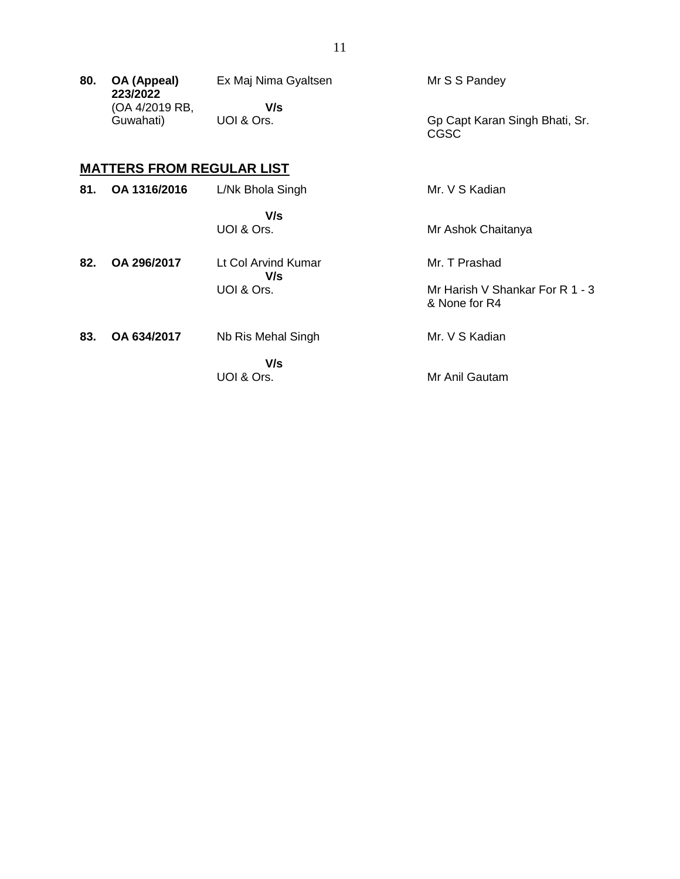| 80. | OA (Appeal)<br>223/2022          | Ex Maj Nima Gyaltsen       | Mr S S Pandey                                    |
|-----|----------------------------------|----------------------------|--------------------------------------------------|
|     | (OA 4/2019 RB,                   | V/s                        |                                                  |
|     | Guwahati)                        | UOI & Ors.                 | Gp Capt Karan Singh Bhati, Sr.<br><b>CGSC</b>    |
|     | <b>MATTERS FROM REGULAR LIST</b> |                            |                                                  |
| 81. | OA 1316/2016                     | L/Nk Bhola Singh           | Mr. V S Kadian                                   |
|     |                                  | V/s                        |                                                  |
|     |                                  | UOI & Ors.                 | Mr Ashok Chaitanya                               |
| 82. | OA 296/2017                      | Lt Col Arvind Kumar<br>V/s | Mr. T Prashad                                    |
|     |                                  | UOI & Ors.                 | Mr Harish V Shankar For R 1 - 3<br>& None for R4 |

| 83. | OA 634/2017 | Nb Ris Mehal Singh | Mr. V S Kadian |
|-----|-------------|--------------------|----------------|
|     |             | V/s<br>UOI & Ors.  | Mr Anil Gautam |

## 11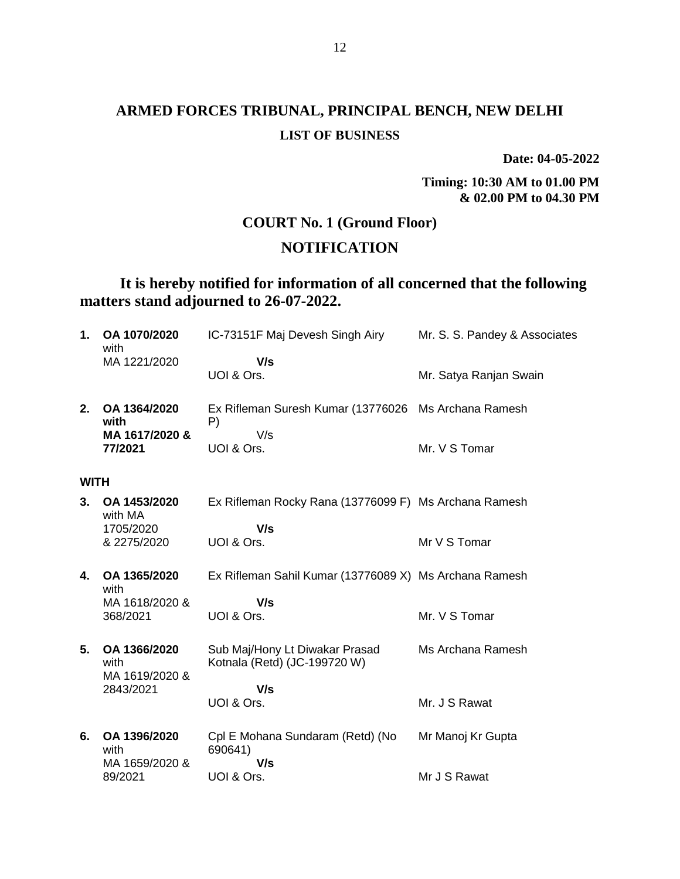# **ARMED FORCES TRIBUNAL, PRINCIPAL BENCH, NEW DELHI LIST OF BUSINESS**

**Date: 04-05-2022**

**Timing: 10:30 AM to 01.00 PM & 02.00 PM to 04.30 PM**

#### **COURT No. 1 (Ground Floor)**

#### **NOTIFICATION**

### **It is hereby notified for information of all concerned that the following matters stand adjourned to 26-07-2022.**

| 1.          | OA 1070/2020<br>with                   | IC-73151F Maj Devesh Singh Airy                                | Mr. S. S. Pandey & Associates |
|-------------|----------------------------------------|----------------------------------------------------------------|-------------------------------|
|             | MA 1221/2020                           | V/s<br>UOI & Ors.                                              | Mr. Satya Ranjan Swain        |
| 2.          | OA 1364/2020<br>with                   | Ex Rifleman Suresh Kumar (13776026 Ms Archana Ramesh<br>P)     |                               |
|             | MA 1617/2020 &<br>77/2021              | V/s<br>UOI & Ors.                                              | Mr. V S Tomar                 |
| <b>WITH</b> |                                        |                                                                |                               |
| 3.          | OA 1453/2020<br>with MA<br>1705/2020   | Ex Rifleman Rocky Rana (13776099 F) Ms Archana Ramesh<br>V/s   |                               |
|             | & 2275/2020                            | UOI & Ors.                                                     | Mr V S Tomar                  |
| 4.          | OA 1365/2020<br>with                   | Ex Rifleman Sahil Kumar (13776089 X) Ms Archana Ramesh         |                               |
|             | MA 1618/2020 &<br>368/2021             | V/s<br>UOI & Ors.                                              | Mr. V S Tomar                 |
| 5.          | OA 1366/2020<br>with<br>MA 1619/2020 & | Sub Maj/Hony Lt Diwakar Prasad<br>Kotnala (Retd) (JC-199720 W) | Ms Archana Ramesh             |
|             | 2843/2021                              | V/s<br>UOI & Ors.                                              | Mr. J S Rawat                 |
| 6.          | OA 1396/2020<br>with<br>MA 1659/2020 & | Cpl E Mohana Sundaram (Retd) (No<br>690641)<br>V/s             | Mr Manoj Kr Gupta             |
|             | 89/2021                                | UOI & Ors.                                                     | Mr J S Rawat                  |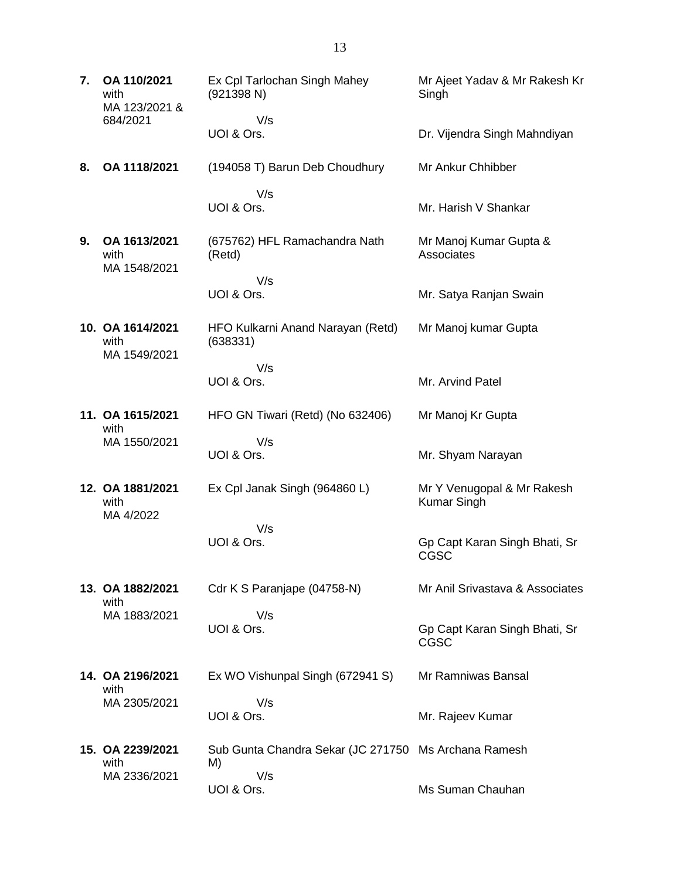**7. OA 110/2021** with MA 123/2021 & 684/2021 Ex Cpl Tarlochan Singh Mahey (921398 N) V/s UOI & Ors. Mr Ajeet Yadav & Mr Rakesh Kr **Singh** Dr. Vijendra Singh Mahndiyan **8. OA 1118/2021** (194058 T) Barun Deb Choudhury V/s UOI & Ors. Mr Ankur Chhibber Mr. Harish V Shankar **9. OA 1613/2021** with MA 1548/2021 (675762) HFL Ramachandra Nath (Retd) V/s UOI & Ors. Mr Manoj Kumar Gupta & **Associates** Mr. Satya Ranjan Swain **10. OA 1614/2021** with MA 1549/2021 HFO Kulkarni Anand Narayan (Retd) (638331) V/s UOI & Ors. Mr Manoj kumar Gupta Mr. Arvind Patel **11. OA 1615/2021** with MA 1550/2021 HFO GN Tiwari (Retd) (No 632406) V/s UOI & Ors. Mr Manoj Kr Gupta Mr. Shyam Narayan **12. OA 1881/2021** with MA 4/2022 Ex Cpl Janak Singh (964860 L) V/s UOI & Ors. Mr Y Venugopal & Mr Rakesh Kumar Singh Gp Capt Karan Singh Bhati, Sr CGSC **13. OA 1882/2021** with MA 1883/2021 Cdr K S Paranjape (04758-N) V/s UOI & Ors. Mr Anil Srivastava & Associates Gp Capt Karan Singh Bhati, Sr CGSC **14. OA 2196/2021** with MA 2305/2021 Ex WO Vishunpal Singh (672941 S) V/s UOI & Ors. Mr Ramniwas Bansal Mr. Rajeev Kumar **15. OA 2239/2021** with MA 2336/2021 Sub Gunta Chandra Sekar (JC 271750 Ms Archana Ramesh M) V/s UOI & Ors. Ms Suman Chauhan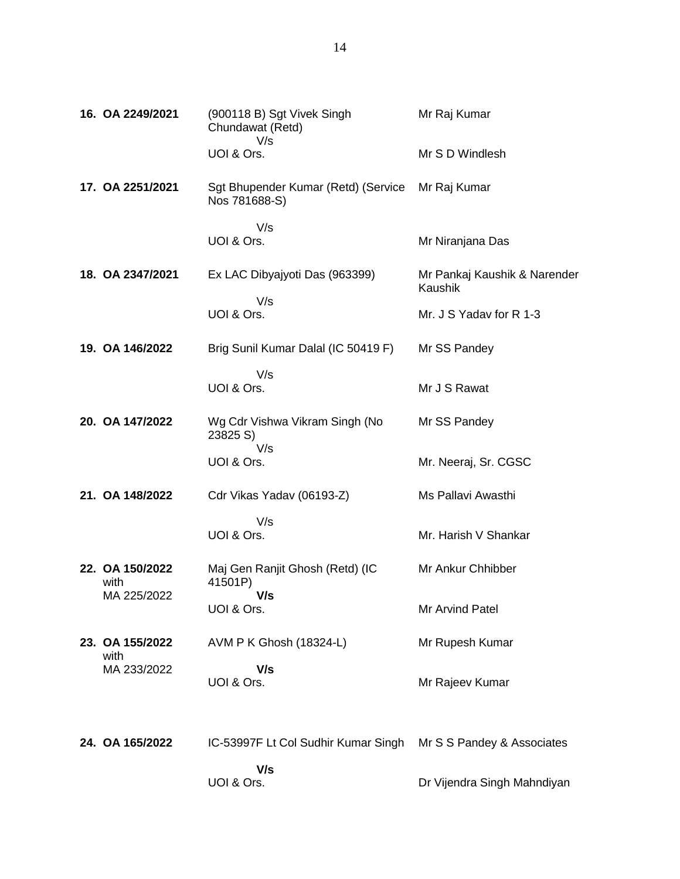| 16. OA 2249/2021        | (900118 B) Sgt Vivek Singh<br>Chundawat (Retd)<br>V/s | Mr Raj Kumar                            |
|-------------------------|-------------------------------------------------------|-----------------------------------------|
|                         | UOI & Ors.                                            | Mr S D Windlesh                         |
| 17. OA 2251/2021        | Sgt Bhupender Kumar (Retd) (Service<br>Nos 781688-S)  | Mr Raj Kumar                            |
|                         | V/s<br>UOI & Ors.                                     | Mr Niranjana Das                        |
| 18. OA 2347/2021        | Ex LAC Dibyajyoti Das (963399)                        | Mr Pankaj Kaushik & Narender<br>Kaushik |
|                         | V/s<br>UOI & Ors.                                     | Mr. J S Yadav for R 1-3                 |
| 19. OA 146/2022         | Brig Sunil Kumar Dalal (IC 50419 F)                   | Mr SS Pandey                            |
|                         | V/s<br>UOI & Ors.                                     | Mr J S Rawat                            |
| 20. OA 147/2022         | Wg Cdr Vishwa Vikram Singh (No<br>23825 S)            | Mr SS Pandey                            |
|                         | V/s<br>UOI & Ors.                                     | Mr. Neeraj, Sr. CGSC                    |
| 21. OA 148/2022         | Cdr Vikas Yadav (06193-Z)                             | Ms Pallavi Awasthi                      |
|                         | V/s<br>UOI & Ors.                                     | Mr. Harish V Shankar                    |
| 22. OA 150/2022<br>with | Maj Gen Ranjit Ghosh (Retd) (IC<br>41501P)            | Mr Ankur Chhibber                       |
| MA 225/2022             | V/s<br>UOI & Ors.                                     | Mr Arvind Patel                         |
| 23. OA 155/2022<br>with | AVM P K Ghosh (18324-L)                               | Mr Rupesh Kumar                         |
| MA 233/2022             | V/s<br>UOI & Ors.                                     | Mr Rajeev Kumar                         |
| 24. OA 165/2022         | IC-53997F Lt Col Sudhir Kumar Singh                   | Mr S S Pandey & Associates              |
|                         | V/s<br>UOI & Ors.                                     | Dr Vijendra Singh Mahndiyan             |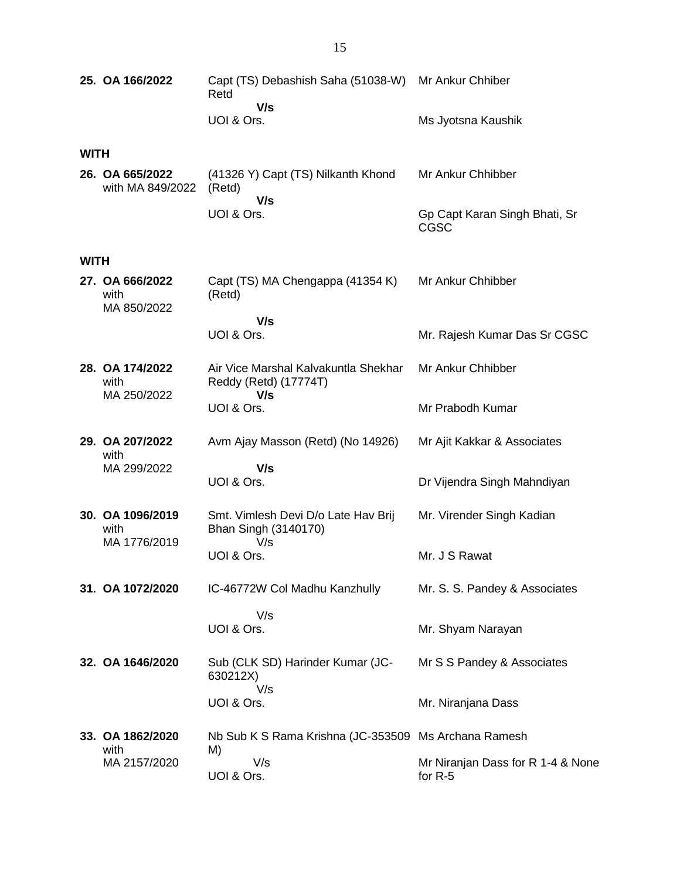|             | 25. OA 166/2022                        | Capt (TS) Debashish Saha (51038-W) Mr Ankur Chhiber<br>Retd   |                                                |
|-------------|----------------------------------------|---------------------------------------------------------------|------------------------------------------------|
|             |                                        | V/s<br>UOI & Ors.                                             | Ms Jyotsna Kaushik                             |
| <b>WITH</b> |                                        |                                                               |                                                |
|             | 26. OA 665/2022<br>with MA 849/2022    | (41326 Y) Capt (TS) Nilkanth Khond<br>(Retd)<br>V/s           | Mr Ankur Chhibber                              |
|             |                                        | UOI & Ors.                                                    | Gp Capt Karan Singh Bhati, Sr<br>CGSC          |
| <b>WITH</b> |                                        |                                                               |                                                |
|             | 27. OA 666/2022<br>with<br>MA 850/2022 | Capt (TS) MA Chengappa (41354 K)<br>(Retd)                    | Mr Ankur Chhibber                              |
|             |                                        | V/s<br>UOI & Ors.                                             | Mr. Rajesh Kumar Das Sr CGSC                   |
|             | 28. OA 174/2022<br>with                | Air Vice Marshal Kalvakuntla Shekhar<br>Reddy (Retd) (17774T) | Mr Ankur Chhibber                              |
|             | MA 250/2022                            | V/s<br>UOI & Ors.                                             | Mr Prabodh Kumar                               |
|             | 29. OA 207/2022<br>with                | Avm Ajay Masson (Retd) (No 14926)                             | Mr Ajit Kakkar & Associates                    |
|             | MA 299/2022                            | V/s<br>UOI & Ors.                                             | Dr Vijendra Singh Mahndiyan                    |
|             | 30. OA 1096/2019<br>with               | Smt. Vimlesh Devi D/o Late Hav Brij<br>Bhan Singh (3140170)   | Mr. Virender Singh Kadian                      |
|             | MA 1776/2019                           | V/s<br>UOI & Ors.                                             | Mr. J S Rawat                                  |
|             | 31. OA 1072/2020                       | IC-46772W Col Madhu Kanzhully                                 | Mr. S. S. Pandey & Associates                  |
|             |                                        | V/s                                                           |                                                |
|             |                                        | UOI & Ors.                                                    | Mr. Shyam Narayan                              |
|             | 32. OA 1646/2020                       | Sub (CLK SD) Harinder Kumar (JC-<br>630212X)<br>V/s           | Mr S S Pandey & Associates                     |
|             |                                        | UOI & Ors.                                                    | Mr. Niranjana Dass                             |
|             | 33. OA 1862/2020<br>with               | Nb Sub K S Rama Krishna (JC-353509 Ms Archana Ramesh<br>M)    |                                                |
|             | MA 2157/2020                           | V/s<br>UOI & Ors.                                             | Mr Niranjan Dass for R 1-4 & None<br>for $R-5$ |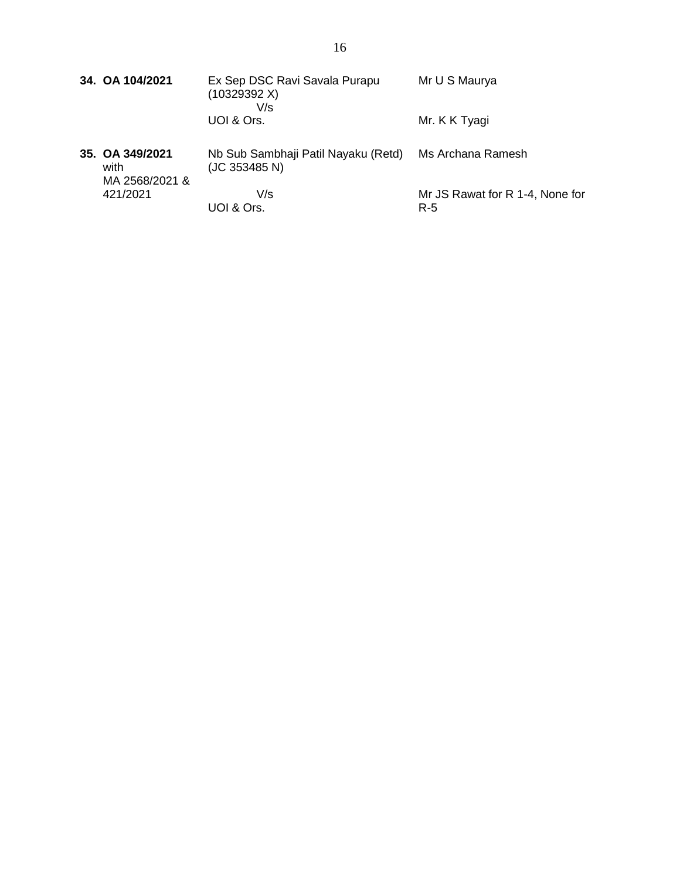| 34. OA 104/2021                           | Ex Sep DSC Ravi Savala Purapu<br>(10329392 X)<br>V/s | Mr U S Maurya                          |
|-------------------------------------------|------------------------------------------------------|----------------------------------------|
|                                           | UOI & Ors.                                           | Mr. K K Tyagi                          |
| 35. OA 349/2021<br>with<br>MA 2568/2021 & | Nb Sub Sambhaji Patil Nayaku (Retd)<br>(JC 353485 N) | Ms Archana Ramesh                      |
| 421/2021                                  | V/s<br>UOI & Ors.                                    | Mr JS Rawat for R 1-4, None for<br>R-5 |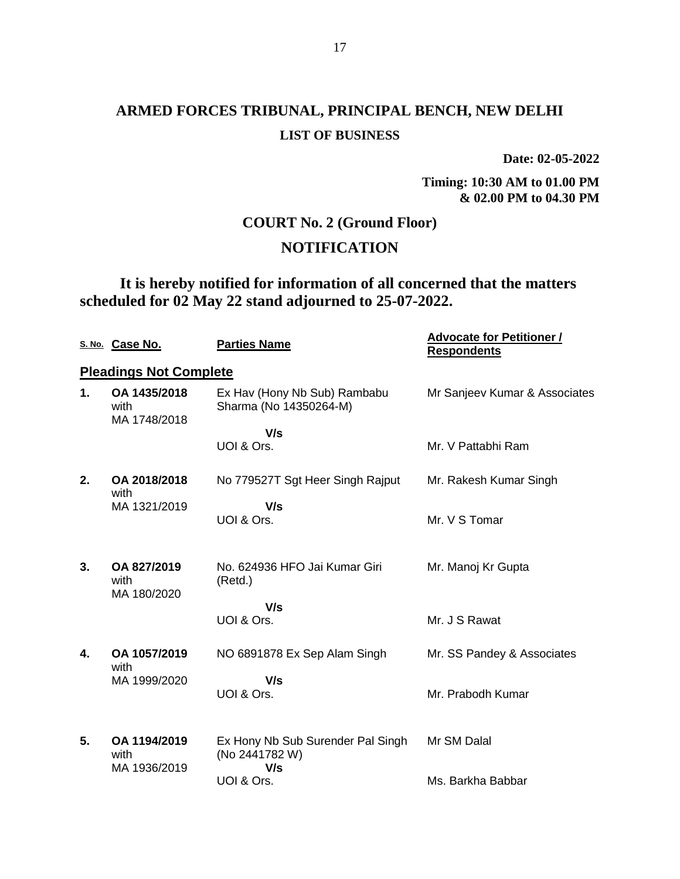# **ARMED FORCES TRIBUNAL, PRINCIPAL BENCH, NEW DELHI LIST OF BUSINESS**

**Date: 02-05-2022**

**Timing: 10:30 AM to 01.00 PM & 02.00 PM to 04.30 PM**

## **COURT No. 2 (Ground Floor)**

## **NOTIFICATION**

**It is hereby notified for information of all concerned that the matters scheduled for 02 May 22 stand adjourned to 25-07-2022.**

|    | S. No. Case No.                      | <b>Parties Name</b>                                        | <b>Advocate for Petitioner /</b><br><b>Respondents</b> |
|----|--------------------------------------|------------------------------------------------------------|--------------------------------------------------------|
|    | <b>Pleadings Not Complete</b>        |                                                            |                                                        |
| 1. | OA 1435/2018<br>with<br>MA 1748/2018 | Ex Hav (Hony Nb Sub) Rambabu<br>Sharma (No 14350264-M)     | Mr Sanjeev Kumar & Associates                          |
|    |                                      | V/s                                                        |                                                        |
|    |                                      | UOI & Ors.                                                 | Mr. V Pattabhi Ram                                     |
| 2. | OA 2018/2018<br>with                 | No 779527T Sgt Heer Singh Rajput                           | Mr. Rakesh Kumar Singh                                 |
|    | MA 1321/2019                         | V/s<br>UOI & Ors.                                          | Mr. V S Tomar                                          |
| 3. | OA 827/2019<br>with<br>MA 180/2020   | No. 624936 HFO Jai Kumar Giri<br>(Retd.)                   | Mr. Manoj Kr Gupta                                     |
|    |                                      | V/s                                                        |                                                        |
|    |                                      | UOI & Ors.                                                 | Mr. J S Rawat                                          |
| 4. | OA 1057/2019<br>with                 | NO 6891878 Ex Sep Alam Singh                               | Mr. SS Pandey & Associates                             |
|    | MA 1999/2020                         | V/s<br>UOI & Ors.                                          | Mr. Prabodh Kumar                                      |
| 5. | OA 1194/2019<br>with<br>MA 1936/2019 | Ex Hony Nb Sub Surender Pal Singh<br>(No 2441782 W)<br>V/s | Mr SM Dalal                                            |
|    |                                      | UOI & Ors.                                                 | Ms. Barkha Babbar                                      |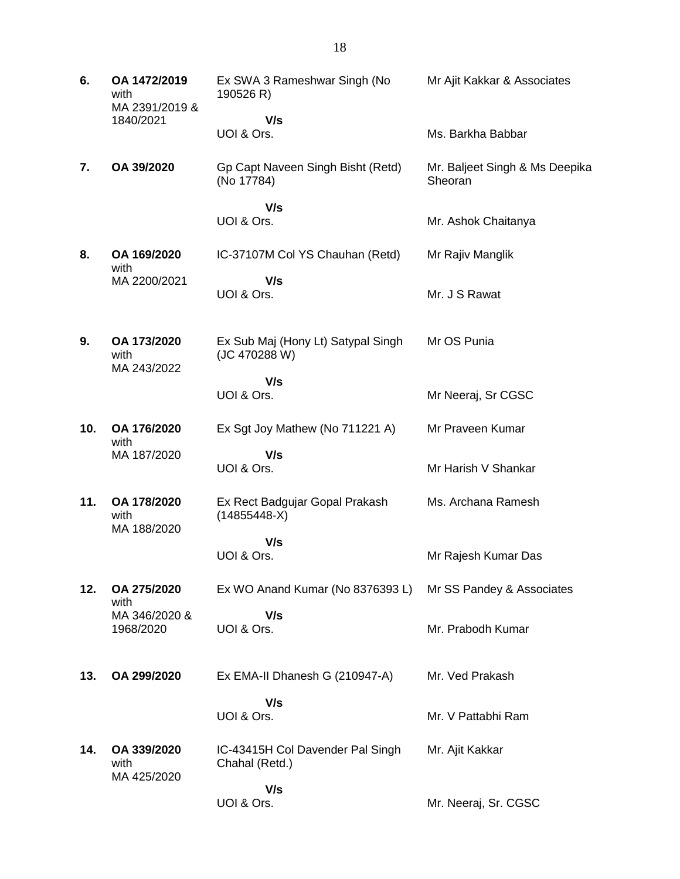| 6.  | OA 1472/2019<br>with<br>MA 2391/2019 &<br>1840/2021 | Ex SWA 3 Rameshwar Singh (No<br>190526 R)           | Mr Ajit Kakkar & Associates               |
|-----|-----------------------------------------------------|-----------------------------------------------------|-------------------------------------------|
|     |                                                     | V/s<br>UOI & Ors.                                   | Ms. Barkha Babbar                         |
| 7.  | OA 39/2020                                          | Gp Capt Naveen Singh Bisht (Retd)<br>(No 17784)     | Mr. Baljeet Singh & Ms Deepika<br>Sheoran |
|     |                                                     | V/s<br>UOI & Ors.                                   | Mr. Ashok Chaitanya                       |
| 8.  | OA 169/2020<br>with                                 | IC-37107M Col YS Chauhan (Retd)                     | Mr Rajiv Manglik                          |
|     | MA 2200/2021                                        | V/s<br>UOI & Ors.                                   | Mr. J S Rawat                             |
| 9.  | OA 173/2020<br>with<br>MA 243/2022                  | Ex Sub Maj (Hony Lt) Satypal Singh<br>(JC 470288 W) | Mr OS Punia                               |
|     |                                                     | V/s<br>UOI & Ors.                                   | Mr Neeraj, Sr CGSC                        |
| 10. | OA 176/2020<br>with                                 | Ex Sgt Joy Mathew (No 711221 A)                     | Mr Praveen Kumar                          |
|     | MA 187/2020                                         | V/s<br>UOI & Ors.                                   | Mr Harish V Shankar                       |
| 11. | OA 178/2020<br>with<br>MA 188/2020                  | Ex Rect Badgujar Gopal Prakash<br>$(14855448-X)$    | Ms. Archana Ramesh                        |
|     |                                                     | V/s<br>UOI & Ors.                                   | Mr Rajesh Kumar Das                       |
| 12. | OA 275/2020<br>with                                 | Ex WO Anand Kumar (No 8376393 L)                    | Mr SS Pandey & Associates                 |
|     | MA 346/2020 &<br>1968/2020                          | V/s<br>UOI & Ors.                                   | Mr. Prabodh Kumar                         |
| 13. | OA 299/2020                                         | Ex EMA-II Dhanesh G (210947-A)                      | Mr. Ved Prakash                           |
|     |                                                     | V/s<br>UOI & Ors.                                   | Mr. V Pattabhi Ram                        |
| 14. | OA 339/2020<br>with<br>MA 425/2020                  | IC-43415H Col Davender Pal Singh<br>Chahal (Retd.)  | Mr. Ajit Kakkar                           |
|     |                                                     | V/s<br>UOI & Ors.                                   | Mr. Neeraj, Sr. CGSC                      |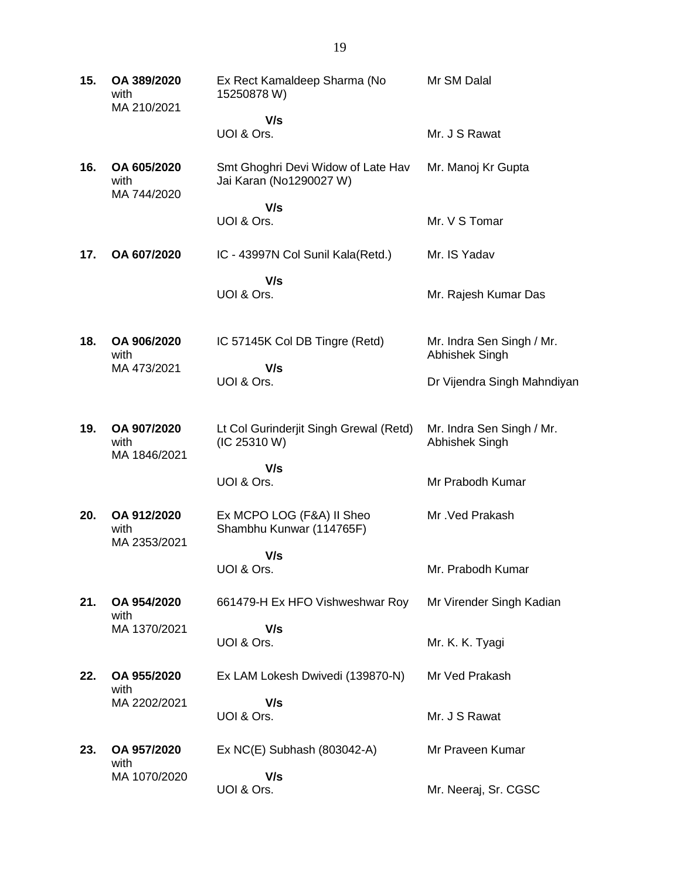| 15. | OA 389/2020<br>with<br>MA 210/2021 | Ex Rect Kamaldeep Sharma (No<br>15250878 W)                   | Mr SM Dalal                 |
|-----|------------------------------------|---------------------------------------------------------------|-----------------------------|
|     |                                    | V/s                                                           |                             |
|     |                                    | UOI & Ors.                                                    | Mr. J S Rawat               |
| 16. | OA 605/2020<br>with<br>MA 744/2020 | Smt Ghoghri Devi Widow of Late Hav<br>Jai Karan (No1290027 W) | Mr. Manoj Kr Gupta          |
|     |                                    | V/s<br>UOI & Ors.                                             | Mr. V S Tomar               |
|     |                                    |                                                               |                             |
| 17. | OA 607/2020                        | IC - 43997N Col Sunil Kala(Retd.)                             | Mr. IS Yadav                |
|     |                                    | V/s                                                           |                             |
|     |                                    | UOI & Ors.                                                    | Mr. Rajesh Kumar Das        |
| 18. | OA 906/2020                        | IC 57145K Col DB Tingre (Retd)                                | Mr. Indra Sen Singh / Mr.   |
|     | with<br>MA 473/2021                | V/s                                                           | Abhishek Singh              |
|     |                                    | UOI & Ors.                                                    | Dr Vijendra Singh Mahndiyan |
| 19. | OA 907/2020                        | Lt Col Gurinderjit Singh Grewal (Retd)                        | Mr. Indra Sen Singh / Mr.   |
|     | with<br>MA 1846/2021               | (IC 25310 W)                                                  | Abhishek Singh              |
|     |                                    | V/s                                                           |                             |
|     |                                    | UOI & Ors.                                                    | Mr Prabodh Kumar            |
| 20. | OA 912/2020<br>with                | Ex MCPO LOG (F&A) II Sheo<br>Shambhu Kunwar (114765F)         | Mr. Ved Prakash             |
|     | MA 2353/2021                       | V/s                                                           |                             |
|     |                                    | UOI & Ors.                                                    | Mr. Prabodh Kumar           |
| 21. | OA 954/2020<br>with                | 661479-H Ex HFO Vishweshwar Roy                               | Mr Virender Singh Kadian    |
|     | MA 1370/2021                       | V/s                                                           |                             |
|     |                                    | UOI & Ors.                                                    | Mr. K. K. Tyagi             |
| 22. | OA 955/2020<br>with                | Ex LAM Lokesh Dwivedi (139870-N)                              | Mr Ved Prakash              |
|     | MA 2202/2021                       | V/s                                                           |                             |
|     |                                    | UOI & Ors.                                                    | Mr. J S Rawat               |
| 23. | OA 957/2020<br>with                | Ex NC(E) Subhash (803042-A)                                   | Mr Praveen Kumar            |
|     | MA 1070/2020                       | V/s                                                           |                             |
|     |                                    | UOI & Ors.                                                    | Mr. Neeraj, Sr. CGSC        |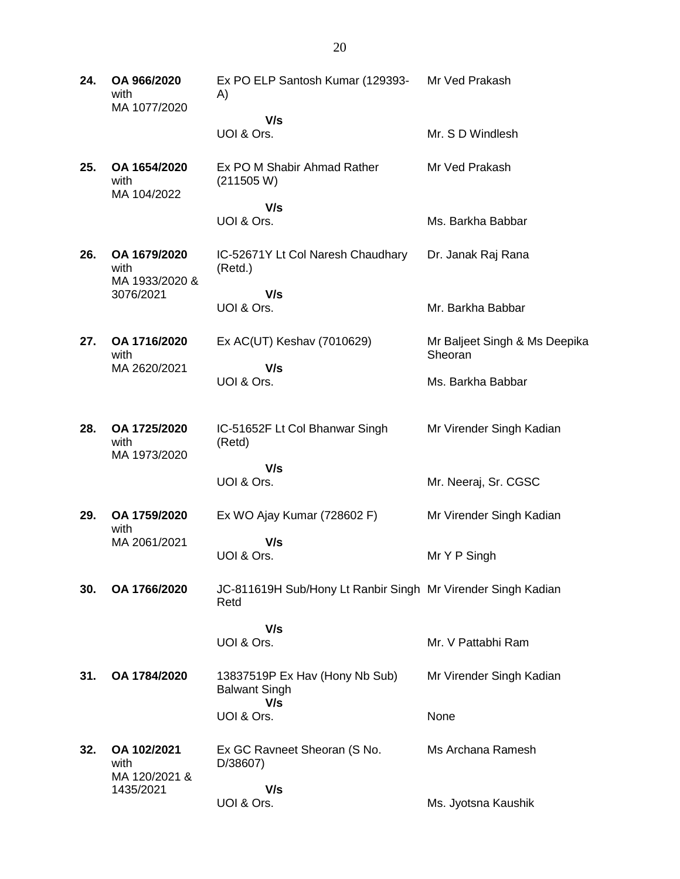**24. OA 966/2020** with MA 1077/2020 Ex PO ELP Santosh Kumar (129393- A)  **V/s** UOI & Ors. Mr Ved Prakash Mr. S D Windlesh **25. OA 1654/2020** with MA 104/2022 Ex PO M Shabir Ahmad Rather (211505 W)  **V/s** UOI & Ors. Mr Ved Prakash Ms. Barkha Babbar **26. OA 1679/2020** with MA 1933/2020 & 3076/2021 IC-52671Y Lt Col Naresh Chaudhary (Retd.)  **V/s** UOI & Ors. Dr. Janak Raj Rana Mr. Barkha Babbar **27. OA 1716/2020** with MA 2620/2021 Ex AC(UT) Keshav (7010629)  **V/s** UOI & Ors. Mr Baljeet Singh & Ms Deepika **Sheoran** Ms. Barkha Babbar **28. OA 1725/2020** with MA 1973/2020 IC-51652F Lt Col Bhanwar Singh (Retd)  **V/s** UOI & Ors. Mr Virender Singh Kadian Mr. Neeraj, Sr. CGSC **29. OA 1759/2020** with MA 2061/2021 Ex WO Ajay Kumar (728602 F)  **V/s** UOI & Ors. Mr Virender Singh Kadian Mr Y P Singh **30. OA 1766/2020** JC-811619H Sub/Hony Lt Ranbir Singh Mr Virender Singh Kadian Retd  **V/s** UOI & Ors. Mr. V Pattabhi Ram **31. OA 1784/2020** 13837519P Ex Hav (Hony Nb Sub) Balwant Singh  **V/s** UOI & Ors. Mr Virender Singh Kadian None **32. OA 102/2021** with MA 120/2021 & 1435/2021 Ex GC Ravneet Sheoran (S No. D/38607)  **V/s** UOI & Ors. Ms Archana Ramesh Ms. Jyotsna Kaushik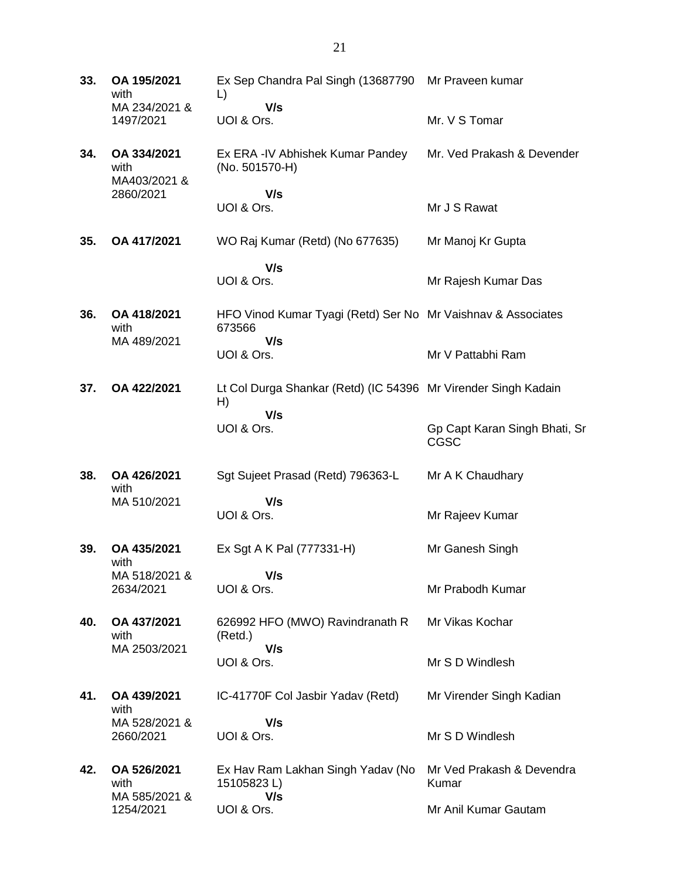**33. OA 195/2021** with MA 234/2021 & 1497/2021 Ex Sep Chandra Pal Singh (13687790 Mr Praveen kumar L)  **V/s** UOI & Ors. Mr. V S Tomar **34. OA 334/2021** with MA403/2021 & 2860/2021 Ex ERA -IV Abhishek Kumar Pandey (No. 501570-H)  **V/s** UOI & Ors. Mr. Ved Prakash & Devender Mr J S Rawat **35. OA 417/2021** WO Raj Kumar (Retd) (No 677635)  **V/s** UOI & Ors. Mr Manoj Kr Gupta Mr Rajesh Kumar Das **36. OA 418/2021** with MA 489/2021 HFO Vinod Kumar Tyagi (Retd) Ser No Mr Vaishnav & Associates 673566  **V/s** UOI & Ors. Mr V Pattabhi Ram **37. OA 422/2021** Lt Col Durga Shankar (Retd) (IC 54396 Mr Virender Singh Kadain H)  **V/s** UOI & Ors. Gp Capt Karan Singh Bhati, Sr CGSC **38. OA 426/2021** with MA 510/2021 Sgt Sujeet Prasad (Retd) 796363-L  **V/s** UOI & Ors. Mr A K Chaudhary Mr Rajeev Kumar **39. OA 435/2021** with MA 518/2021 & 2634/2021 Ex Sgt A K Pal (777331-H)  **V/s** UOI & Ors. Mr Ganesh Singh Mr Prabodh Kumar **40. OA 437/2021** with MA 2503/2021 626992 HFO (MWO) Ravindranath R (Retd.)  **V/s** UOI & Ors. Mr Vikas Kochar Mr S D Windlesh **41. OA 439/2021** with MA 528/2021 & 2660/2021 IC-41770F Col Jasbir Yadav (Retd)  **V/s** UOI & Ors. Mr Virender Singh Kadian Mr S D Windlesh **42. OA 526/2021** with MA 585/2021 & 1254/2021 Ex Hav Ram Lakhan Singh Yadav (No Mr Ved Prakash & Devendra 15105823 L)  **V/s** UOI & Ors. Kumar Mr Anil Kumar Gautam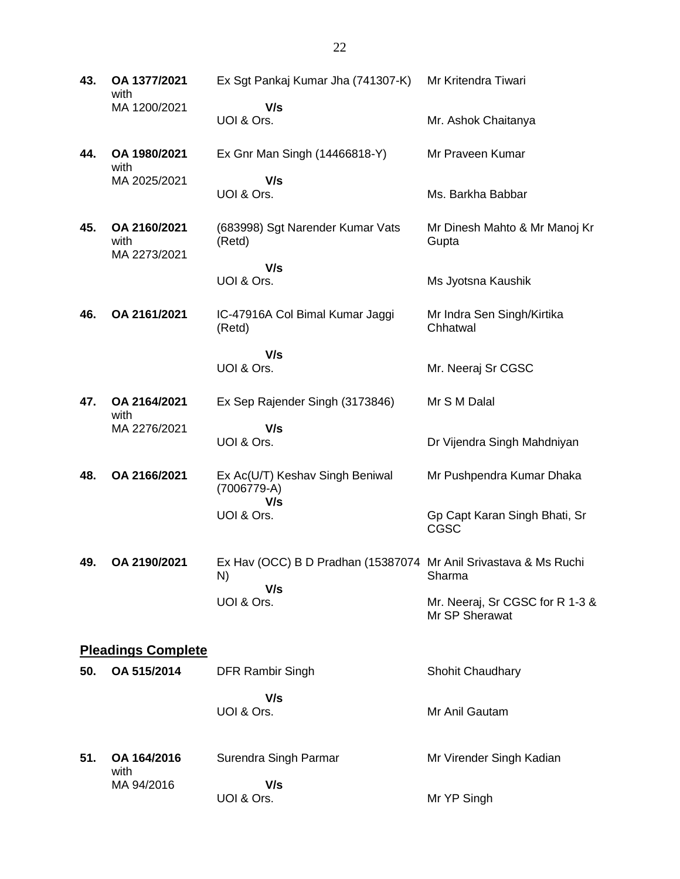**43. OA 1377/2021** with MA 1200/2021 Ex Sgt Pankaj Kumar Jha (741307-K)  **V/s** UOI & Ors. Mr Kritendra Tiwari Mr. Ashok Chaitanya **44. OA 1980/2021** with MA 2025/2021 Ex Gnr Man Singh (14466818-Y)  **V/s** UOI & Ors. Mr Praveen Kumar Ms. Barkha Babbar **45. OA 2160/2021** with MA 2273/2021 (683998) Sgt Narender Kumar Vats (Retd)  **V/s** UOI & Ors. Mr Dinesh Mahto & Mr Manoj Kr **Gupta** Ms Jyotsna Kaushik **46. OA 2161/2021** IC-47916A Col Bimal Kumar Jaggi (Retd)  **V/s** UOI & Ors. Mr Indra Sen Singh/Kirtika **Chhatwal** Mr. Neeraj Sr CGSC **47. OA 2164/2021** with MA 2276/2021 Ex Sep Rajender Singh (3173846)  **V/s** UOI & Ors. Mr S M Dalal Dr Vijendra Singh Mahdniyan **48. OA 2166/2021** Ex Ac(U/T) Keshav Singh Beniwal (7006779-A)  **V/s** UOI & Ors. Mr Pushpendra Kumar Dhaka Gp Capt Karan Singh Bhati, Sr CGSC **49. OA 2190/2021** Ex Hav (OCC) B D Pradhan (15387074 Mr Anil Srivastava & Ms Ruchi N)  **V/s** UOI & Ors. Sharma Mr. Neeraj, Sr CGSC for R 1-3 & Mr SP Sherawat **Pleadings Complete 50. OA 515/2014** DFR Rambir Singh  **V/s** UOI & Ors. Shohit Chaudhary Mr Anil Gautam **51. OA 164/2016** with MA 94/2016 Surendra Singh Parmar  **V/s** UOI & Ors. Mr Virender Singh Kadian Mr YP Singh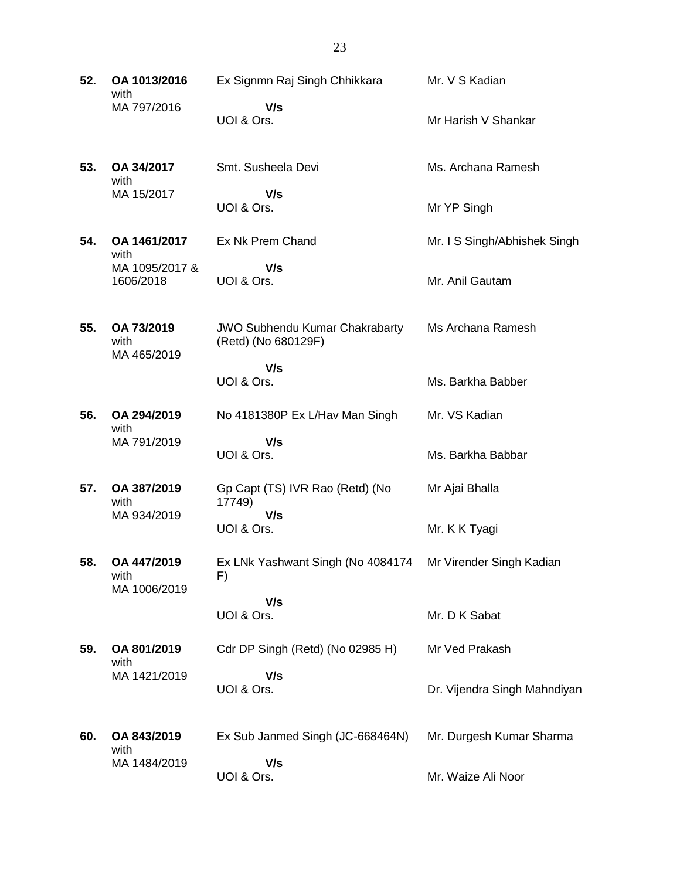| 52. | OA 1013/2016<br>with                | Ex Signmn Raj Singh Chhikkara                                | Mr. V S Kadian               |
|-----|-------------------------------------|--------------------------------------------------------------|------------------------------|
|     | MA 797/2016                         | V/s<br>UOI & Ors.                                            | Mr Harish V Shankar          |
| 53. | OA 34/2017<br>with                  | Smt. Susheela Devi                                           | Ms. Archana Ramesh           |
|     | MA 15/2017                          | V/s<br>UOI & Ors.                                            | Mr YP Singh                  |
| 54. | OA 1461/2017<br>with                | Ex Nk Prem Chand                                             | Mr. I S Singh/Abhishek Singh |
|     | MA 1095/2017 &<br>1606/2018         | V/s<br>UOI & Ors.                                            | Mr. Anil Gautam              |
| 55. | OA 73/2019<br>with<br>MA 465/2019   | <b>JWO Subhendu Kumar Chakrabarty</b><br>(Retd) (No 680129F) | Ms Archana Ramesh            |
|     |                                     | V/s<br>UOI & Ors.                                            | Ms. Barkha Babber            |
| 56. | OA 294/2019<br>with                 | No 4181380P Ex L/Hav Man Singh                               | Mr. VS Kadian                |
|     | MA 791/2019                         | V/s<br>UOI & Ors.                                            | Ms. Barkha Babbar            |
| 57. | OA 387/2019<br>with                 | Gp Capt (TS) IVR Rao (Retd) (No<br>17749)                    | Mr Ajai Bhalla               |
|     | MA 934/2019                         | V/s<br>UOI & Ors.                                            | Mr. K K Tyagi                |
| 58. | OA 447/2019<br>with<br>MA 1006/2019 | Ex LNk Yashwant Singh (No 4084174<br>F)                      | Mr Virender Singh Kadian     |
|     |                                     | V/s<br>UOI & Ors.                                            | Mr. D K Sabat                |
| 59. | OA 801/2019<br>with                 | Cdr DP Singh (Retd) (No 02985 H)                             | Mr Ved Prakash               |
|     | MA 1421/2019                        | V/s<br>UOI & Ors.                                            | Dr. Vijendra Singh Mahndiyan |
| 60. | OA 843/2019<br>with                 | Ex Sub Janmed Singh (JC-668464N)                             | Mr. Durgesh Kumar Sharma     |
|     | MA 1484/2019                        | V/s<br>UOI & Ors.                                            | Mr. Waize Ali Noor           |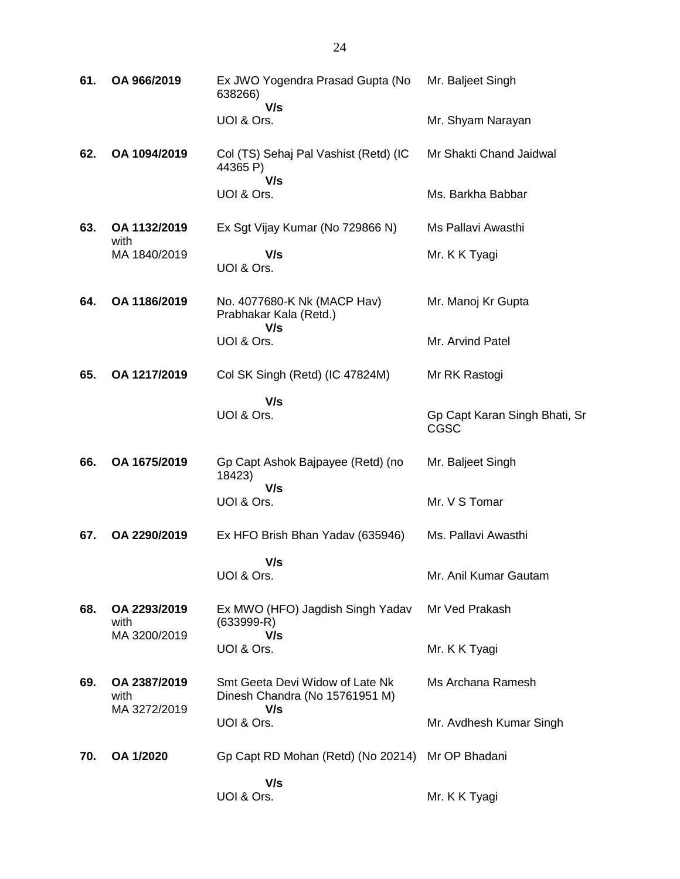| 61. | OA 966/2019                          | Ex JWO Yogendra Prasad Gupta (No<br>638266)                              | Mr. Baljeet Singh                     |
|-----|--------------------------------------|--------------------------------------------------------------------------|---------------------------------------|
|     |                                      | V/s<br>UOI & Ors.                                                        | Mr. Shyam Narayan                     |
| 62. | OA 1094/2019                         | Col (TS) Sehaj Pal Vashist (Retd) (IC<br>44365 P)<br>V/s                 | Mr Shakti Chand Jaidwal               |
|     |                                      | UOI & Ors.                                                               | Ms. Barkha Babbar                     |
| 63. | OA 1132/2019<br>with                 | Ex Sgt Vijay Kumar (No 729866 N)                                         | Ms Pallavi Awasthi                    |
|     | MA 1840/2019                         | V/s<br>UOI & Ors.                                                        | Mr. K K Tyagi                         |
| 64. | OA 1186/2019                         | No. 4077680-K Nk (MACP Hav)<br>Prabhakar Kala (Retd.)<br>V/s             | Mr. Manoj Kr Gupta                    |
|     |                                      | UOI & Ors.                                                               | Mr. Arvind Patel                      |
| 65. | OA 1217/2019                         | Col SK Singh (Retd) (IC 47824M)                                          | Mr RK Rastogi                         |
|     |                                      | V/s<br>UOI & Ors.                                                        | Gp Capt Karan Singh Bhati, Sr<br>CGSC |
| 66. | OA 1675/2019                         | Gp Capt Ashok Bajpayee (Retd) (no<br>18423)                              | Mr. Baljeet Singh                     |
|     |                                      | V/s<br>UOI & Ors.                                                        | Mr. V S Tomar                         |
| 67. | OA 2290/2019                         | Ex HFO Brish Bhan Yadav (635946)                                         | Ms. Pallavi Awasthi                   |
|     |                                      | V/s<br>UOI & Ors.                                                        | Mr. Anil Kumar Gautam                 |
| 68. | OA 2293/2019<br>with<br>MA 3200/2019 | Ex MWO (HFO) Jagdish Singh Yadav<br>$(633999 - R)$<br>V/s                | Mr Ved Prakash                        |
|     |                                      | UOI & Ors.                                                               | Mr. K K Tyagi                         |
| 69. | OA 2387/2019<br>with<br>MA 3272/2019 | Smt Geeta Devi Widow of Late Nk<br>Dinesh Chandra (No 15761951 M)<br>V/s | Ms Archana Ramesh                     |
|     |                                      | UOI & Ors.                                                               | Mr. Avdhesh Kumar Singh               |
| 70. | OA 1/2020                            | Gp Capt RD Mohan (Retd) (No 20214) Mr OP Bhadani                         |                                       |
|     |                                      | V/s<br>UOI & Ors.                                                        | Mr. K K Tyagi                         |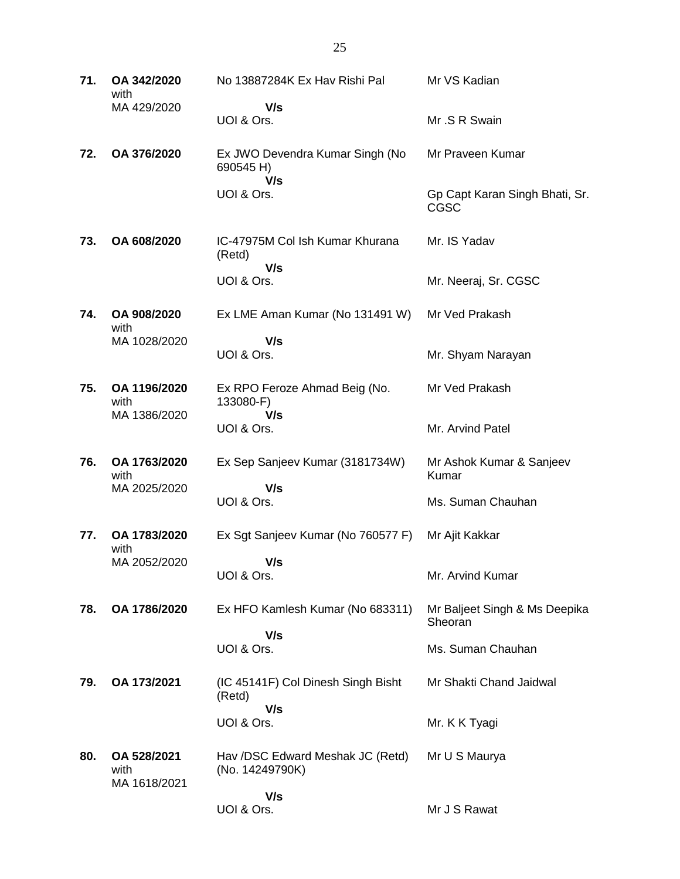| 71. | OA 342/2020<br>with                 | No 13887284K Ex Hav Rishi Pal                       | Mr VS Kadian                                  |
|-----|-------------------------------------|-----------------------------------------------------|-----------------------------------------------|
|     | MA 429/2020                         | V/s<br>UOI & Ors.                                   | Mr.S R Swain                                  |
| 72. | OA 376/2020                         | Ex JWO Devendra Kumar Singh (No<br>690545 H)        | Mr Praveen Kumar                              |
|     |                                     | V/s<br>UOI & Ors.                                   | Gp Capt Karan Singh Bhati, Sr.<br><b>CGSC</b> |
| 73. | OA 608/2020                         | IC-47975M Col Ish Kumar Khurana<br>(Retd)<br>V/s    | Mr. IS Yadav                                  |
|     |                                     | UOI & Ors.                                          | Mr. Neeraj, Sr. CGSC                          |
| 74. | OA 908/2020<br>with                 | Ex LME Aman Kumar (No 131491 W)                     | Mr Ved Prakash                                |
|     | MA 1028/2020                        | V/s<br>UOI & Ors.                                   | Mr. Shyam Narayan                             |
| 75. | OA 1196/2020<br>with                | Ex RPO Feroze Ahmad Beig (No.<br>133080-F)          | Mr Ved Prakash                                |
|     | MA 1386/2020                        | V/s<br>UOI & Ors.                                   | Mr. Arvind Patel                              |
| 76. | OA 1763/2020<br>with                | Ex Sep Sanjeev Kumar (3181734W)                     | Mr Ashok Kumar & Sanjeev<br>Kumar             |
|     | MA 2025/2020                        | V/s<br>UOI & Ors.                                   | Ms. Suman Chauhan                             |
| 77. | OA 1783/2020<br>with                | Ex Sgt Sanjeev Kumar (No 760577 F)                  | Mr Ajit Kakkar                                |
|     | MA 2052/2020                        | V/s<br>UOI & Ors.                                   | Mr. Arvind Kumar                              |
| 78. | OA 1786/2020                        | Ex HFO Kamlesh Kumar (No 683311)                    | Mr Baljeet Singh & Ms Deepika<br>Sheoran      |
|     |                                     | V/s<br>UOI & Ors.                                   | Ms. Suman Chauhan                             |
| 79. | OA 173/2021                         | (IC 45141F) Col Dinesh Singh Bisht<br>(Retd)        | Mr Shakti Chand Jaidwal                       |
|     |                                     | V/s<br>UOI & Ors.                                   | Mr. K K Tyagi                                 |
| 80. | OA 528/2021<br>with<br>MA 1618/2021 | Hav /DSC Edward Meshak JC (Retd)<br>(No. 14249790K) | Mr U S Maurya                                 |
|     |                                     | V/s<br>UOI & Ors.                                   | Mr J S Rawat                                  |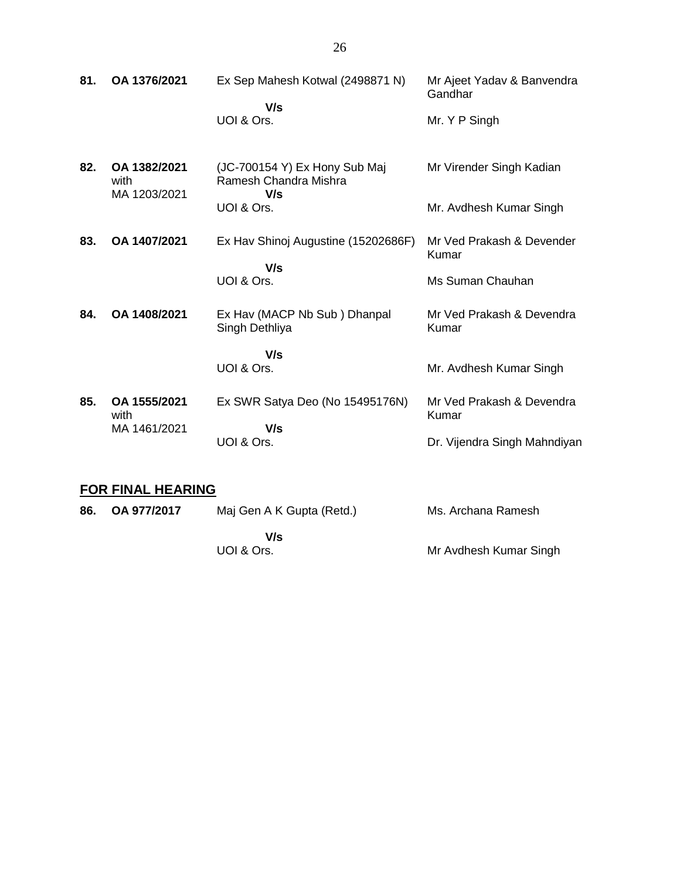| 81. | OA 1376/2021                         | Ex Sep Mahesh Kotwal (2498871 N)<br>V/s<br>UOI & Ors.         | Mr Ajeet Yadav & Banvendra<br>Gandhar<br>Mr. Y P Singh |
|-----|--------------------------------------|---------------------------------------------------------------|--------------------------------------------------------|
| 82. | OA 1382/2021<br>with<br>MA 1203/2021 | (JC-700154 Y) Ex Hony Sub Maj<br>Ramesh Chandra Mishra<br>V/s | Mr Virender Singh Kadian                               |
|     |                                      | UOI & Ors.                                                    | Mr. Avdhesh Kumar Singh                                |
| 83. | OA 1407/2021                         | Ex Hav Shinoj Augustine (15202686F)<br>V/s                    | Mr Ved Prakash & Devender<br>Kumar                     |
|     |                                      | UOI & Ors.                                                    | Ms Suman Chauhan                                       |
| 84. | OA 1408/2021                         | Ex Hav (MACP Nb Sub) Dhanpal<br>Singh Dethliya                | Mr Ved Prakash & Devendra<br>Kumar                     |
|     |                                      | V/s<br>UOI & Ors.                                             | Mr. Avdhesh Kumar Singh                                |
| 85. | OA 1555/2021<br>with                 | Ex SWR Satya Deo (No 15495176N)                               | Mr Ved Prakash & Devendra<br>Kumar                     |
|     | MA 1461/2021                         | V/s<br>UOI & Ors.                                             | Dr. Vijendra Singh Mahndiyan                           |

#### **FOR FINAL HEARING**

| 86. | OA 977/2017 | Maj Gen A K Gupta (Retd.) | Ms. Archana Ramesh     |
|-----|-------------|---------------------------|------------------------|
|     |             | V/s                       |                        |
|     |             | UOI & Ors.                | Mr Avdhesh Kumar Singh |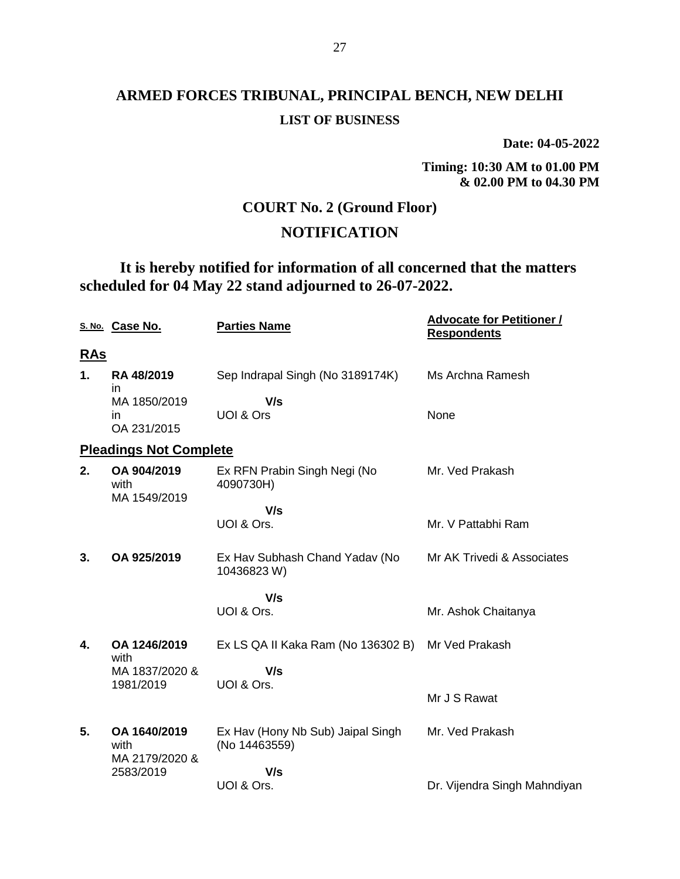**Date: 04-05-2022**

**Timing: 10:30 AM to 01.00 PM & 02.00 PM to 04.30 PM**

#### **COURT No. 2 (Ground Floor)**

#### **NOTIFICATION**

## **It is hereby notified for information of all concerned that the matters scheduled for 04 May 22 stand adjourned to 26-07-2022.**

|            | S. No. Case No.                        | <b>Parties Name</b>                                | <b>Advocate for Petitioner /</b><br><b>Respondents</b> |
|------------|----------------------------------------|----------------------------------------------------|--------------------------------------------------------|
| <u>RAs</u> |                                        |                                                    |                                                        |
| 1.         | RA 48/2019<br>in                       | Sep Indrapal Singh (No 3189174K)                   | Ms Archna Ramesh                                       |
|            | MA 1850/2019<br>in                     | V/s<br>UOI & Ors                                   | None                                                   |
|            | OA 231/2015                            |                                                    |                                                        |
|            | <b>Pleadings Not Complete</b>          |                                                    |                                                        |
| 2.         | OA 904/2019<br>with<br>MA 1549/2019    | Ex RFN Prabin Singh Negi (No<br>4090730H)          | Mr. Ved Prakash                                        |
|            |                                        | V/s                                                |                                                        |
|            |                                        | UOI & Ors.                                         | Mr. V Pattabhi Ram                                     |
| 3.         | OA 925/2019                            | Ex Hav Subhash Chand Yadav (No<br>10436823 W)      | Mr AK Trivedi & Associates                             |
|            |                                        | V/s                                                |                                                        |
|            |                                        | UOI & Ors.                                         | Mr. Ashok Chaitanya                                    |
| 4.         | OA 1246/2019<br>with                   | Ex LS QA II Kaka Ram (No 136302 B)                 | Mr Ved Prakash                                         |
|            | MA 1837/2020 &                         | V/s                                                |                                                        |
|            | 1981/2019                              | UOI & Ors.                                         | Mr J S Rawat                                           |
| 5.         | OA 1640/2019<br>with<br>MA 2179/2020 & | Ex Hav (Hony Nb Sub) Jaipal Singh<br>(No 14463559) | Mr. Ved Prakash                                        |
|            | 2583/2019                              | V/s                                                |                                                        |
|            |                                        | UOI & Ors.                                         | Dr. Vijendra Singh Mahndiyan                           |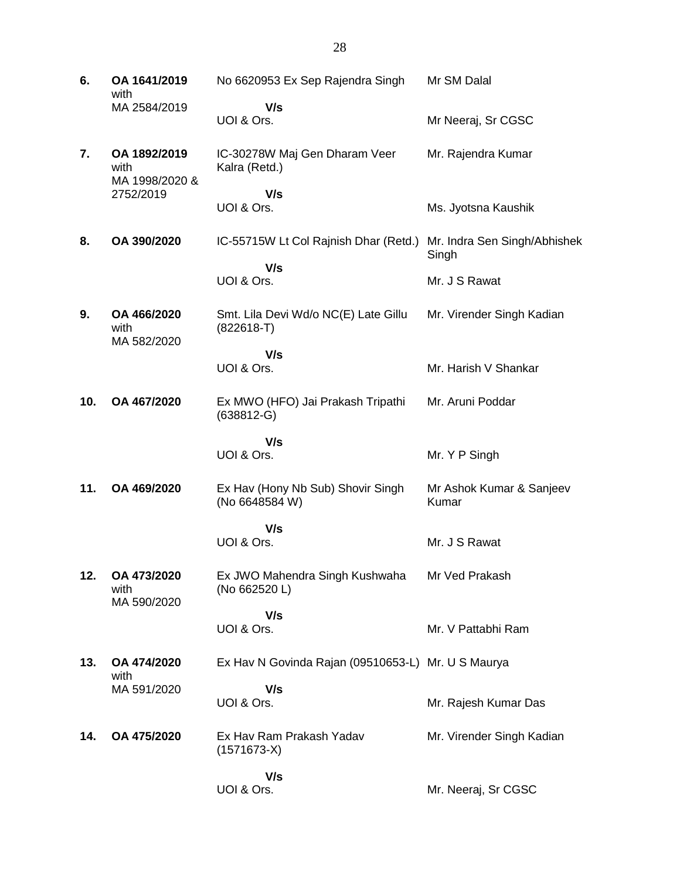**6. OA 1641/2019** with MA 2584/2019 No 6620953 Ex Sep Rajendra Singh  **V/s** UOI & Ors. Mr SM Dalal Mr Neeraj, Sr CGSC **7. OA 1892/2019** with MA 1998/2020 & 2752/2019 IC-30278W Maj Gen Dharam Veer Kalra (Retd.)  **V/s** UOI & Ors. Mr. Rajendra Kumar Ms. Jyotsna Kaushik **8. OA 390/2020** IC-55715W Lt Col Rajnish Dhar (Retd.) Mr. Indra Sen Singh/Abhishek  **V/s** UOI & Ors. Singh Mr. J S Rawat **9. OA 466/2020** with MA 582/2020 Smt. Lila Devi Wd/o NC(E) Late Gillu (822618-T)  **V/s** UOI & Ors. Mr. Virender Singh Kadian Mr. Harish V Shankar **10. OA 467/2020** Ex MWO (HFO) Jai Prakash Tripathi (638812-G)  **V/s** UOI & Ors. Mr. Aruni Poddar Mr. Y P Singh **11. OA 469/2020** Ex Hav (Hony Nb Sub) Shovir Singh (No 6648584 W)  **V/s** UOI & Ors. Mr Ashok Kumar & Sanjeev Kumar Mr. J S Rawat **12. OA 473/2020** with MA 590/2020 Ex JWO Mahendra Singh Kushwaha (No 662520 L)  **V/s** UOI & Ors. Mr Ved Prakash Mr. V Pattabhi Ram **13. OA 474/2020** with MA 591/2020 Ex Hav N Govinda Rajan (09510653-L) Mr. U S Maurya  **V/s** UOI & Ors. Mr. Rajesh Kumar Das **14. OA 475/2020** Ex Hav Ram Prakash Yadav (1571673-X)  **V/s** UOI & Ors. Mr. Virender Singh Kadian Mr. Neeraj, Sr CGSC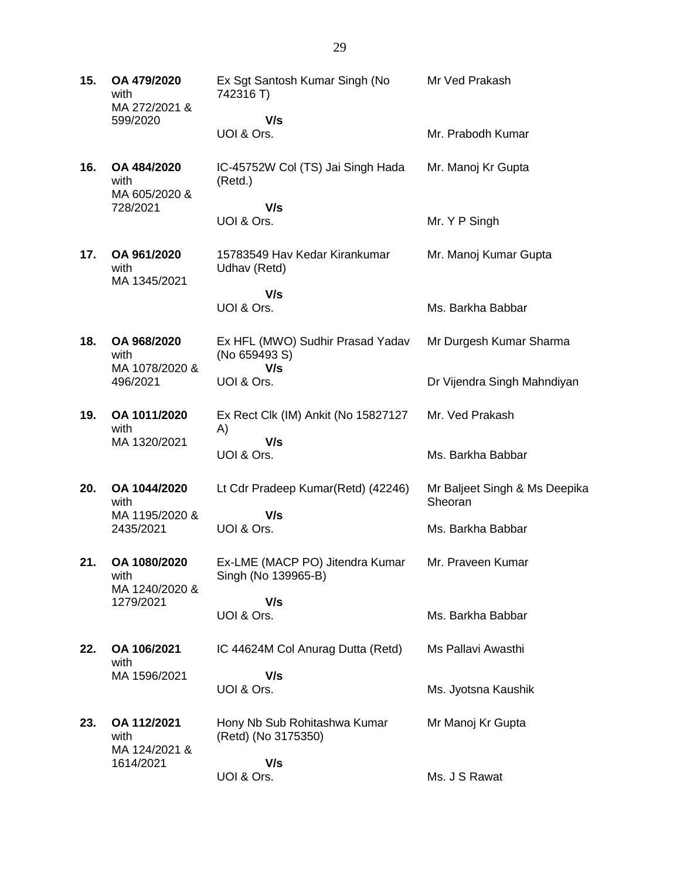| 15. | OA 479/2020<br>with<br>MA 272/2021 &<br>599/2020  | Ex Sgt Santosh Kumar Singh (No<br>742316 T)<br>V/s<br>UOI & Ors. | Mr Ved Prakash<br>Mr. Prabodh Kumar      |
|-----|---------------------------------------------------|------------------------------------------------------------------|------------------------------------------|
|     |                                                   |                                                                  |                                          |
| 16. | OA 484/2020<br>with<br>MA 605/2020 &              | IC-45752W Col (TS) Jai Singh Hada<br>(Retd.)                     | Mr. Manoj Kr Gupta                       |
|     | 728/2021                                          | V/s<br>UOI & Ors.                                                | Mr. Y P Singh                            |
| 17. | OA 961/2020<br>with<br>MA 1345/2021               | 15783549 Hav Kedar Kirankumar<br>Udhav (Retd)                    | Mr. Manoj Kumar Gupta                    |
|     |                                                   | V/s                                                              |                                          |
|     |                                                   | UOI & Ors.                                                       | Ms. Barkha Babbar                        |
| 18. | OA 968/2020<br>with<br>MA 1078/2020 &             | Ex HFL (MWO) Sudhir Prasad Yadav<br>(No 659493 S)<br>V/s         | Mr Durgesh Kumar Sharma                  |
|     | 496/2021                                          | UOI & Ors.                                                       | Dr Vijendra Singh Mahndiyan              |
| 19. | OA 1011/2020<br>with<br>MA 1320/2021              | Ex Rect Clk (IM) Ankit (No 15827127<br>A)<br>V/s                 | Mr. Ved Prakash                          |
|     |                                                   | UOI & Ors.                                                       | Ms. Barkha Babbar                        |
| 20. | OA 1044/2020<br>with                              | Lt Cdr Pradeep Kumar(Retd) (42246)                               | Mr Baljeet Singh & Ms Deepika<br>Sheoran |
|     | MA 1195/2020 &<br>2435/2021                       | V/s<br>UOI & Ors.                                                | Ms. Barkha Babbar                        |
| 21. | OA 1080/2020<br>with<br>MA 1240/2020 &            | Ex-LME (MACP PO) Jitendra Kumar<br>Singh (No 139965-B)           | Mr. Praveen Kumar                        |
|     | 1279/2021                                         | V/s<br>UOI & Ors.                                                | Ms. Barkha Babbar                        |
| 22. | OA 106/2021<br>with                               | IC 44624M Col Anurag Dutta (Retd)                                | Ms Pallavi Awasthi                       |
|     | MA 1596/2021                                      | V/s                                                              |                                          |
|     |                                                   | UOI & Ors.                                                       | Ms. Jyotsna Kaushik                      |
| 23. | OA 112/2021<br>with<br>MA 124/2021 &<br>1614/2021 | Hony Nb Sub Rohitashwa Kumar<br>(Retd) (No 3175350)              | Mr Manoj Kr Gupta                        |
|     |                                                   | V/s<br>UOI & Ors.                                                | Ms. J S Rawat                            |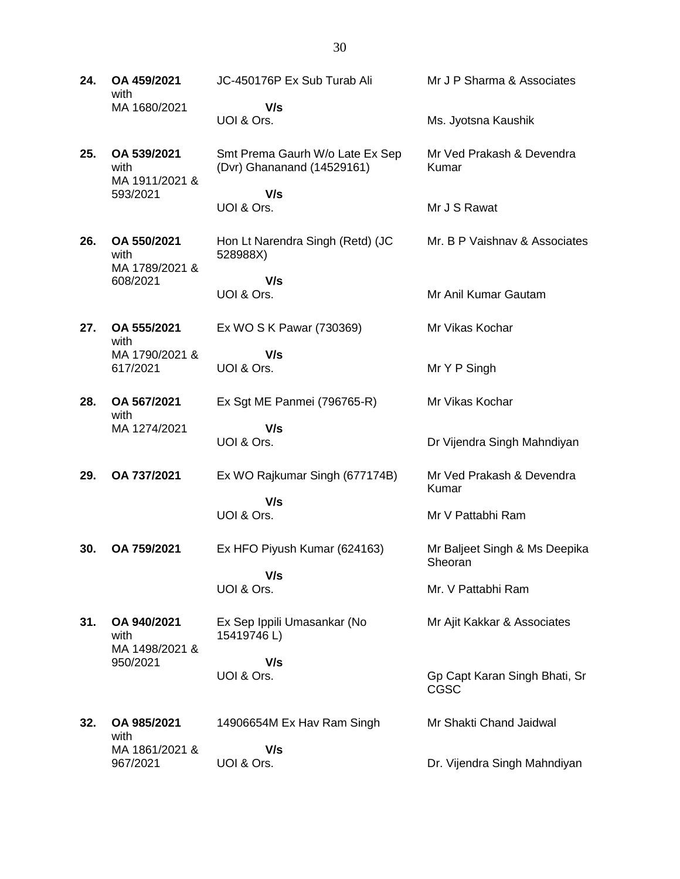**24. OA 459/2021** with MA 1680/2021 JC-450176P Ex Sub Turab Ali  **V/s** UOI & Ors. Mr J P Sharma & Associates Ms. Jyotsna Kaushik **25. OA 539/2021** with MA 1911/2021 & 593/2021 Smt Prema Gaurh W/o Late Ex Sep (Dvr) Ghananand (14529161)  **V/s** UOI & Ors. Mr Ved Prakash & Devendra Kumar Mr J S Rawat **26. OA 550/2021** with MA 1789/2021 & 608/2021 Hon Lt Narendra Singh (Retd) (JC 528988X)  **V/s** UOI & Ors. Mr. B P Vaishnav & Associates Mr Anil Kumar Gautam **27. OA 555/2021** with MA 1790/2021 & 617/2021 Ex WO S K Pawar (730369)  **V/s** UOI & Ors. Mr Vikas Kochar Mr Y P Singh **28. OA 567/2021** with MA 1274/2021 Ex Sgt ME Panmei (796765-R)  **V/s** UOI & Ors. Mr Vikas Kochar Dr Vijendra Singh Mahndiyan **29. OA 737/2021** Ex WO Rajkumar Singh (677174B)  **V/s** UOI & Ors. Mr Ved Prakash & Devendra Kumar Mr V Pattabhi Ram **30. OA 759/2021** Ex HFO Piyush Kumar (624163)  **V/s** UOI & Ors. Mr Baljeet Singh & Ms Deepika **Sheoran** Mr. V Pattabhi Ram **31. OA 940/2021** with MA 1498/2021 & 950/2021 Ex Sep Ippili Umasankar (No 15419746 L)  **V/s** UOI & Ors. Mr Ajit Kakkar & Associates Gp Capt Karan Singh Bhati, Sr CGSC **32. OA 985/2021** with MA 1861/2021 & 14906654M Ex Hav Ram Singh  **V/s** Mr Shakti Chand Jaidwal

Dr. Vijendra Singh Mahndiyan

967/2021

UOI & Ors.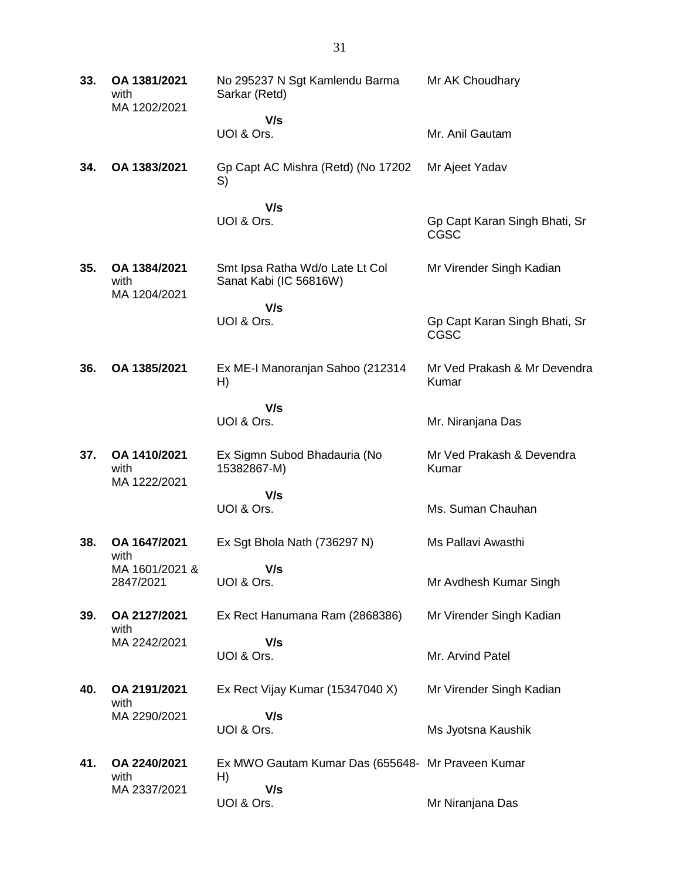| 33. | OA 1381/2021<br>with<br>MA 1202/2021 | No 295237 N Sgt Kamlendu Barma<br>Sarkar (Retd)           | Mr AK Choudhary                              |
|-----|--------------------------------------|-----------------------------------------------------------|----------------------------------------------|
|     |                                      | V/s                                                       |                                              |
|     |                                      | UOI & Ors.                                                | Mr. Anil Gautam                              |
| 34. | OA 1383/2021                         | Gp Capt AC Mishra (Retd) (No 17202<br>S)                  | Mr Ajeet Yadav                               |
|     |                                      | V/s                                                       |                                              |
|     |                                      | UOI & Ors.                                                | Gp Capt Karan Singh Bhati, Sr<br><b>CGSC</b> |
| 35. | OA 1384/2021<br>with<br>MA 1204/2021 | Smt Ipsa Ratha Wd/o Late Lt Col<br>Sanat Kabi (IC 56816W) | Mr Virender Singh Kadian                     |
|     |                                      | V/s                                                       |                                              |
|     |                                      | UOI & Ors.                                                | Gp Capt Karan Singh Bhati, Sr<br><b>CGSC</b> |
| 36. | OA 1385/2021                         | Ex ME-I Manoranjan Sahoo (212314<br>H)                    | Mr Ved Prakash & Mr Devendra<br>Kumar        |
|     |                                      | V/s                                                       |                                              |
|     |                                      | UOI & Ors.                                                | Mr. Niranjana Das                            |
| 37. | OA 1410/2021<br>with<br>MA 1222/2021 | Ex Sigmn Subod Bhadauria (No<br>15382867-M)               | Mr Ved Prakash & Devendra<br>Kumar           |
|     |                                      | V/s                                                       |                                              |
|     |                                      | UOI & Ors.                                                | Ms. Suman Chauhan                            |
| 38. | OA 1647/2021<br>with                 | Ex Sgt Bhola Nath (736297 N)                              | Ms Pallavi Awasthi                           |
|     | MA 1601/2021 &                       | V/s                                                       |                                              |
|     | 2847/2021                            | UOI & Ors.                                                | Mr Avdhesh Kumar Singh                       |
| 39. | OA 2127/2021<br>with                 | Ex Rect Hanumana Ram (2868386)                            | Mr Virender Singh Kadian                     |
|     | MA 2242/2021                         | V/s                                                       |                                              |
|     |                                      | UOI & Ors.                                                | Mr. Arvind Patel                             |
| 40. | OA 2191/2021<br>with                 | Ex Rect Vijay Kumar (15347040 X)                          | Mr Virender Singh Kadian                     |
|     | MA 2290/2021                         | V/s                                                       |                                              |
|     |                                      | UOI & Ors.                                                | Ms Jyotsna Kaushik                           |
| 41. | OA 2240/2021<br>with                 | Ex MWO Gautam Kumar Das (655648- Mr Praveen Kumar<br>H)   |                                              |
|     | MA 2337/2021                         | V/s                                                       |                                              |
|     |                                      | UOI & Ors.                                                | Mr Niranjana Das                             |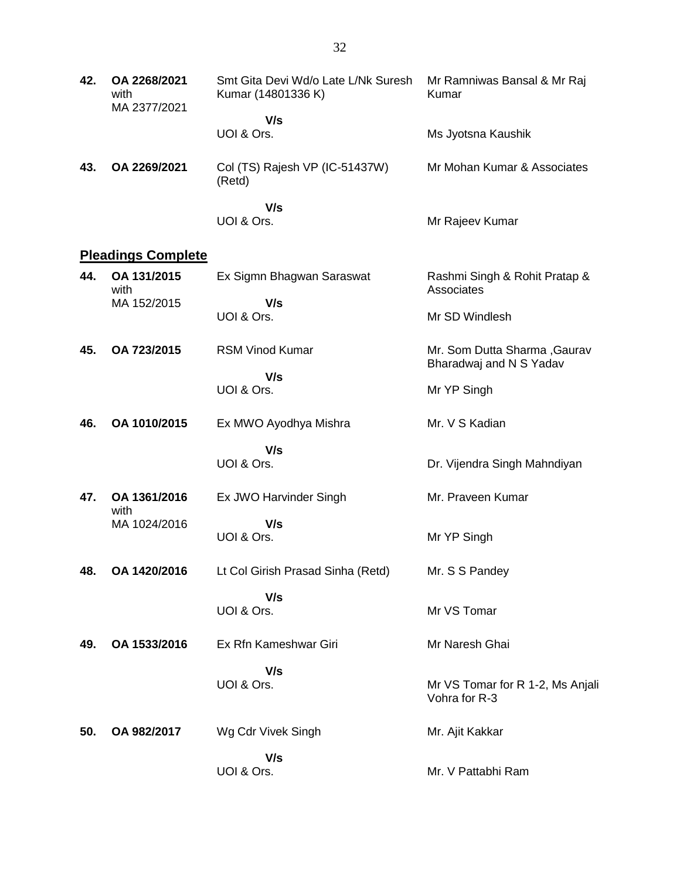| 42. | OA 2268/2021<br>with<br>MA 2377/2021 | Smt Gita Devi Wd/o Late L/Nk Suresh<br>Kumar (14801336 K) | Mr Ramniwas Bansal & Mr Raj<br>Kumar                    |
|-----|--------------------------------------|-----------------------------------------------------------|---------------------------------------------------------|
|     |                                      | V/s                                                       |                                                         |
|     |                                      | UOI & Ors.                                                | Ms Jyotsna Kaushik                                      |
| 43. | OA 2269/2021                         | Col (TS) Rajesh VP (IC-51437W)<br>(Retd)                  | Mr Mohan Kumar & Associates                             |
|     |                                      | V/s<br>UOI & Ors.                                         | Mr Rajeev Kumar                                         |
|     | <b>Pleadings Complete</b>            |                                                           |                                                         |
| 44. | OA 131/2015<br>with                  | Ex Sigmn Bhagwan Saraswat                                 | Rashmi Singh & Rohit Pratap &<br>Associates             |
|     | MA 152/2015                          | V/s                                                       |                                                         |
|     |                                      | UOI & Ors.                                                | Mr SD Windlesh                                          |
| 45. | OA 723/2015                          | <b>RSM Vinod Kumar</b>                                    | Mr. Som Dutta Sharma, Gaurav<br>Bharadwaj and N S Yadav |
|     |                                      | V/s<br>UOI & Ors.                                         | Mr YP Singh                                             |
| 46. | OA 1010/2015                         | Ex MWO Ayodhya Mishra                                     | Mr. V S Kadian                                          |
|     |                                      | V/s                                                       |                                                         |
|     |                                      | UOI & Ors.                                                | Dr. Vijendra Singh Mahndiyan                            |
| 47. | OA 1361/2016<br>with                 | Ex JWO Harvinder Singh                                    | Mr. Praveen Kumar                                       |
|     | MA 1024/2016                         | V/s<br>UOI & Ors.                                         | Mr YP Singh                                             |
| 48. | OA 1420/2016                         | Lt Col Girish Prasad Sinha (Retd)                         | Mr. S S Pandey                                          |
|     |                                      | V/s<br>UOI & Ors.                                         | Mr VS Tomar                                             |
|     |                                      |                                                           |                                                         |
| 49. | OA 1533/2016                         | Ex Rfn Kameshwar Giri                                     | Mr Naresh Ghai                                          |
|     |                                      | V/s<br>UOI & Ors.                                         | Mr VS Tomar for R 1-2, Ms Anjali<br>Vohra for R-3       |
| 50. | OA 982/2017                          | Wg Cdr Vivek Singh                                        | Mr. Ajit Kakkar                                         |
|     |                                      | V/s                                                       |                                                         |
|     |                                      | UOI & Ors.                                                | Mr. V Pattabhi Ram                                      |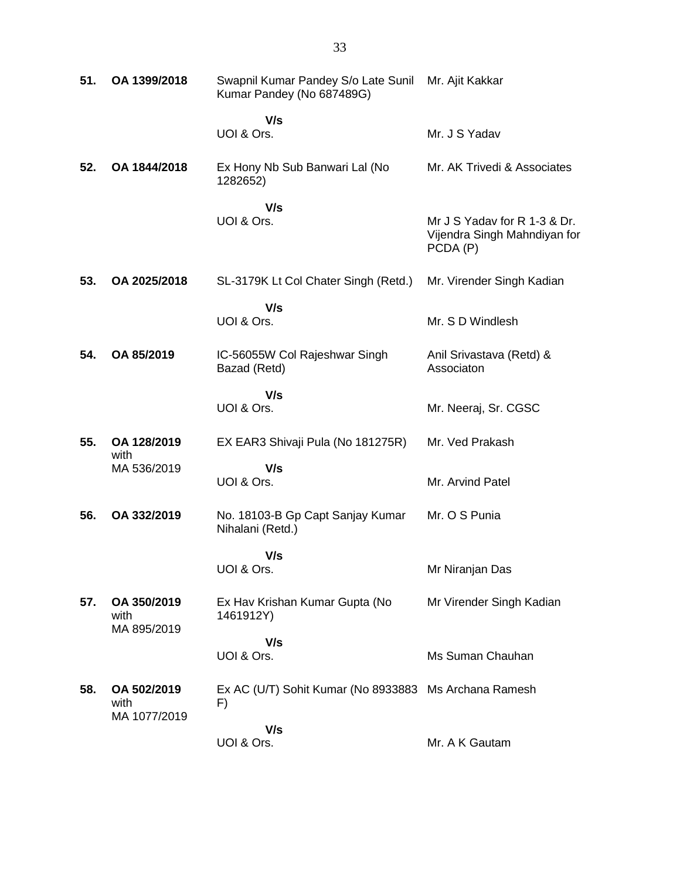| 51. | OA 1399/2018                        | Swapnil Kumar Pandey S/o Late Sunil Mr. Ajit Kakkar<br>Kumar Pandey (No 687489G) |                                                                          |
|-----|-------------------------------------|----------------------------------------------------------------------------------|--------------------------------------------------------------------------|
|     |                                     | V/s<br>UOI & Ors.                                                                | Mr. J S Yadav                                                            |
| 52. | OA 1844/2018                        | Ex Hony Nb Sub Banwari Lal (No<br>1282652)                                       | Mr. AK Trivedi & Associates                                              |
|     |                                     | V/s<br>UOI & Ors.                                                                | Mr J S Yadav for R 1-3 & Dr.<br>Vijendra Singh Mahndiyan for<br>PCDA (P) |
| 53. | OA 2025/2018                        | SL-3179K Lt Col Chater Singh (Retd.)                                             | Mr. Virender Singh Kadian                                                |
|     |                                     | V/s<br>UOI & Ors.                                                                | Mr. S D Windlesh                                                         |
| 54. | OA 85/2019                          | IC-56055W Col Rajeshwar Singh<br>Bazad (Retd)                                    | Anil Srivastava (Retd) &<br>Associaton                                   |
|     |                                     | V/s<br>UOI & Ors.                                                                | Mr. Neeraj, Sr. CGSC                                                     |
| 55. | OA 128/2019<br>with                 | EX EAR3 Shivaji Pula (No 181275R)                                                | Mr. Ved Prakash                                                          |
|     | MA 536/2019                         | V/s<br>UOI & Ors.                                                                | Mr. Arvind Patel                                                         |
| 56. | OA 332/2019                         | No. 18103-B Gp Capt Sanjay Kumar<br>Nihalani (Retd.)                             | Mr. O S Punia                                                            |
|     |                                     | V/s<br>UOI & Ors.                                                                | Mr Niranjan Das                                                          |
| 57. | OA 350/2019<br>with<br>MA 895/2019  | Ex Hav Krishan Kumar Gupta (No<br>1461912Y)                                      | Mr Virender Singh Kadian                                                 |
|     |                                     | V/s<br>UOI & Ors.                                                                | Ms Suman Chauhan                                                         |
| 58. | OA 502/2019<br>with<br>MA 1077/2019 | Ex AC (U/T) Sohit Kumar (No 8933883 Ms Archana Ramesh<br>F)                      |                                                                          |
|     |                                     | V/s<br>UOI & Ors.                                                                | Mr. A K Gautam                                                           |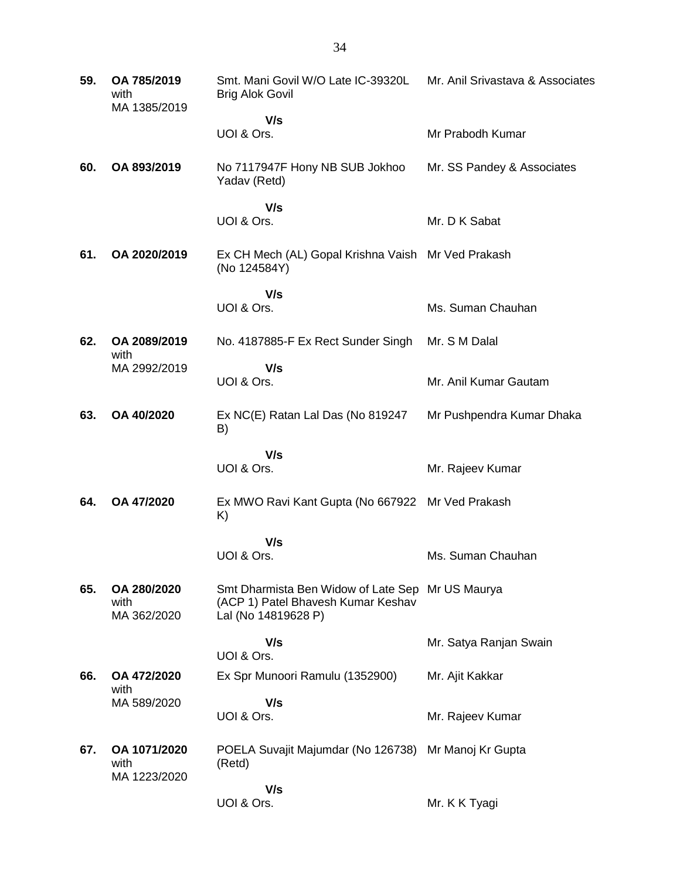| 59. | OA 785/2019<br>with<br>MA 1385/2019  | Smt. Mani Govil W/O Late IC-39320L<br><b>Brig Alok Govil</b>                                                  | Mr. Anil Srivastava & Associates |
|-----|--------------------------------------|---------------------------------------------------------------------------------------------------------------|----------------------------------|
|     |                                      | V/s<br>UOI & Ors.                                                                                             | Mr Prabodh Kumar                 |
| 60. | OA 893/2019                          | No 7117947F Hony NB SUB Jokhoo<br>Yadav (Retd)                                                                | Mr. SS Pandey & Associates       |
|     |                                      | V/s<br>UOI & Ors.                                                                                             | Mr. D K Sabat                    |
| 61. | OA 2020/2019                         | Ex CH Mech (AL) Gopal Krishna Vaish Mr Ved Prakash<br>(No 124584Y)                                            |                                  |
|     |                                      | V/s<br>UOI & Ors.                                                                                             | Ms. Suman Chauhan                |
| 62. | OA 2089/2019                         | No. 4187885-F Ex Rect Sunder Singh                                                                            | Mr. S M Dalal                    |
|     | with<br>MA 2992/2019                 | V/s<br>UOI & Ors.                                                                                             | Mr. Anil Kumar Gautam            |
| 63. | OA 40/2020                           | Ex NC(E) Ratan Lal Das (No 819247<br>B)                                                                       | Mr Pushpendra Kumar Dhaka        |
|     |                                      | V/s<br>UOI & Ors.                                                                                             | Mr. Rajeev Kumar                 |
| 64. | OA 47/2020                           | Ex MWO Ravi Kant Gupta (No 667922 Mr Ved Prakash<br>K)                                                        |                                  |
|     |                                      | V/s<br>UOI & Ors.                                                                                             | Ms. Suman Chauhan                |
| 65. | OA 280/2020<br>with<br>MA 362/2020   | Smt Dharmista Ben Widow of Late Sep Mr US Maurya<br>(ACP 1) Patel Bhavesh Kumar Keshav<br>Lal (No 14819628 P) |                                  |
|     |                                      | V/s<br>UOI & Ors.                                                                                             | Mr. Satya Ranjan Swain           |
| 66. | OA 472/2020                          | Ex Spr Munoori Ramulu (1352900)                                                                               | Mr. Ajit Kakkar                  |
|     | with<br>MA 589/2020                  | V/s<br>UOI & Ors.                                                                                             | Mr. Rajeev Kumar                 |
| 67. | OA 1071/2020<br>with<br>MA 1223/2020 | POELA Suvajit Majumdar (No 126738) Mr Manoj Kr Gupta<br>(Retd)                                                |                                  |
|     |                                      | V/s<br>UOI & Ors.                                                                                             | Mr. K K Tyagi                    |